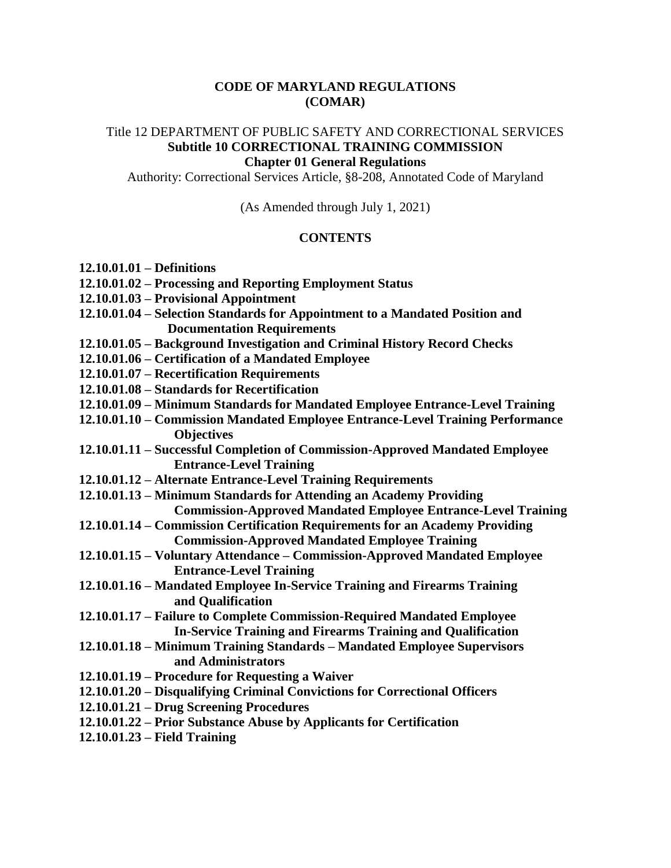#### **CODE OF MARYLAND REGULATIONS (COMAR)**

#### Title 12 DEPARTMENT OF PUBLIC SAFETY AND CORRECTIONAL SERVICES **Subtitle 10 CORRECTIONAL TRAINING COMMISSION**

#### **Chapter 01 General Regulations**

Authority: Correctional Services Article, §8-208, Annotated Code of Maryland

(As Amended through July 1, 2021)

#### **CONTENTS**

- **12.10.01.01 – Definitions**
- **12.10.01.02 – Processing and Reporting Employment Status**
- **12.10.01.03 – Provisional Appointment**
- **12.10.01.04 – Selection Standards for Appointment to a Mandated Position and Documentation Requirements**
- **12.10.01.05 – Background Investigation and Criminal History Record Checks**
- **12.10.01.06 – Certification of a Mandated Employee**
- **12.10.01.07 – Recertification Requirements**
- **12.10.01.08 – Standards for Recertification**
- **12.10.01.09 – Minimum Standards for Mandated Employee Entrance-Level Training**
- **12.10.01.10 – Commission Mandated Employee Entrance-Level Training Performance Objectives**
- **12.10.01.11 – Successful Completion of Commission-Approved Mandated Employee Entrance-Level Training**
- **12.10.01.12 – Alternate Entrance-Level Training Requirements**
- **12.10.01.13 – Minimum Standards for Attending an Academy Providing Commission-Approved Mandated Employee Entrance-Level Training**
- **12.10.01.14 – Commission Certification Requirements for an Academy Providing Commission-Approved Mandated Employee Training**
- **12.10.01.15 – Voluntary Attendance – Commission-Approved Mandated Employee Entrance-Level Training**
- **12.10.01.16 – Mandated Employee In-Service Training and Firearms Training and Qualification**
- **12.10.01.17 – Failure to Complete Commission-Required Mandated Employee In-Service Training and Firearms Training and Qualification**
- **12.10.01.18 – Minimum Training Standards – Mandated Employee Supervisors and Administrators**
- **12.10.01.19 – Procedure for Requesting a Waiver**
- **12.10.01.20 – Disqualifying Criminal Convictions for Correctional Officers**
- **12.10.01.21 – Drug Screening Procedures**
- **12.10.01.22 – Prior Substance Abuse by Applicants for Certification**
- **12.10.01.23 – Field Training**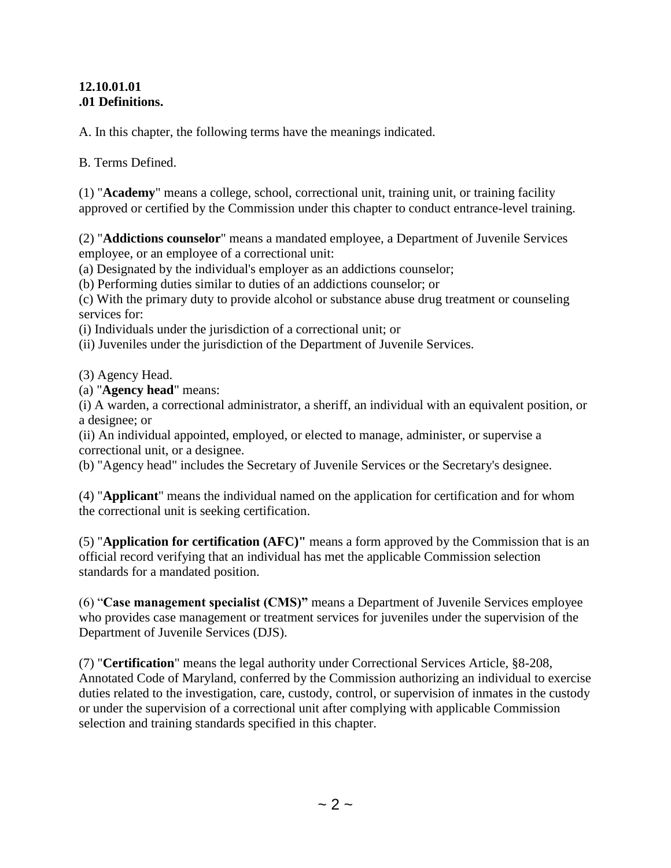#### **12.10.01.01 .01 Definitions.**

A. In this chapter, the following terms have the meanings indicated.

B. Terms Defined.

(1) "**Academy**" means a college, school, correctional unit, training unit, or training facility approved or certified by the Commission under this chapter to conduct entrance-level training.

(2) "**Addictions counselor**" means a mandated employee, a Department of Juvenile Services employee, or an employee of a correctional unit:

(a) Designated by the individual's employer as an addictions counselor;

(b) Performing duties similar to duties of an addictions counselor; or

(c) With the primary duty to provide alcohol or substance abuse drug treatment or counseling services for:

(i) Individuals under the jurisdiction of a correctional unit; or

(ii) Juveniles under the jurisdiction of the Department of Juvenile Services.

(3) Agency Head.

(a) "**Agency head**" means:

(i) A warden, a correctional administrator, a sheriff, an individual with an equivalent position, or a designee; or

(ii) An individual appointed, employed, or elected to manage, administer, or supervise a correctional unit, or a designee.

(b) "Agency head" includes the Secretary of Juvenile Services or the Secretary's designee.

(4) "**Applicant**" means the individual named on the application for certification and for whom the correctional unit is seeking certification.

(5) "**Application for certification (AFC)"** means a form approved by the Commission that is an official record verifying that an individual has met the applicable Commission selection standards for a mandated position.

(6) "**Case management specialist (CMS)"** means a Department of Juvenile Services employee who provides case management or treatment services for juveniles under the supervision of the Department of Juvenile Services (DJS).

(7) "**Certification**" means the legal authority under Correctional Services Article, §8-208, Annotated Code of Maryland, conferred by the Commission authorizing an individual to exercise duties related to the investigation, care, custody, control, or supervision of inmates in the custody or under the supervision of a correctional unit after complying with applicable Commission selection and training standards specified in this chapter.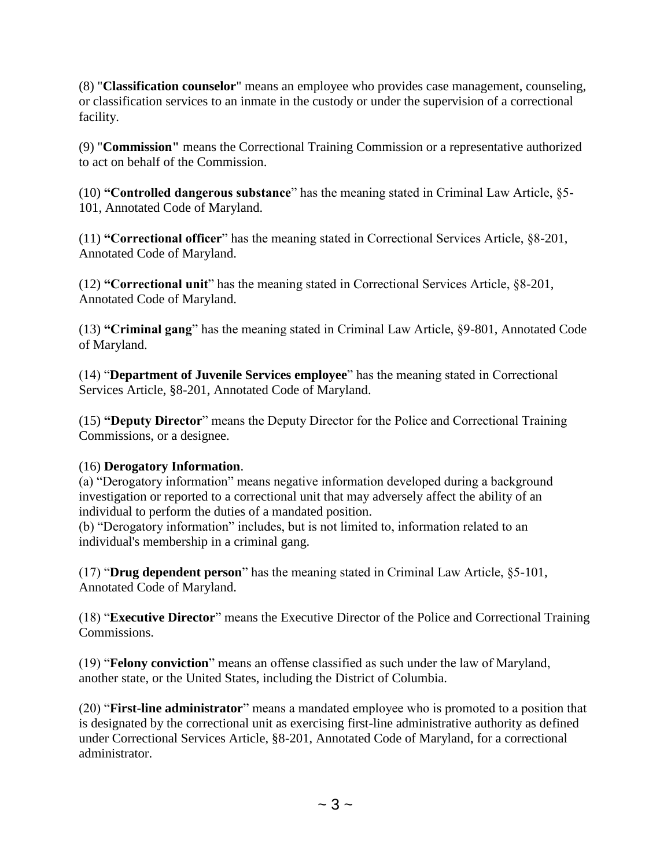(8) "**Classification counselor**" means an employee who provides case management, counseling, or classification services to an inmate in the custody or under the supervision of a correctional facility.

(9) "**Commission"** means the Correctional Training Commission or a representative authorized to act on behalf of the Commission.

(10) **"Controlled dangerous substance**" has the meaning stated in Criminal Law Article, §5- 101, Annotated Code of Maryland.

(11) **"Correctional officer**" has the meaning stated in Correctional Services Article, §8-201, Annotated Code of Maryland.

(12) **"Correctional unit**" has the meaning stated in Correctional Services Article, §8-201, Annotated Code of Maryland.

(13) **"Criminal gang**" has the meaning stated in Criminal Law Article, §9-801, Annotated Code of Maryland.

(14) "**Department of Juvenile Services employee**" has the meaning stated in Correctional Services Article, §8-201, Annotated Code of Maryland.

(15) **"Deputy Director**" means the Deputy Director for the Police and Correctional Training Commissions, or a designee.

## (16) **Derogatory Information**.

(a) "Derogatory information" means negative information developed during a background investigation or reported to a correctional unit that may adversely affect the ability of an individual to perform the duties of a mandated position.

(b) "Derogatory information" includes, but is not limited to, information related to an individual's membership in a criminal gang.

(17) "**Drug dependent person**" has the meaning stated in Criminal Law Article, §5-101, Annotated Code of Maryland.

(18) "**Executive Director**" means the Executive Director of the Police and Correctional Training Commissions.

(19) "**Felony conviction**" means an offense classified as such under the law of Maryland, another state, or the United States, including the District of Columbia.

(20) "**First-line administrator**" means a mandated employee who is promoted to a position that is designated by the correctional unit as exercising first-line administrative authority as defined under Correctional Services Article, §8-201, Annotated Code of Maryland, for a correctional administrator.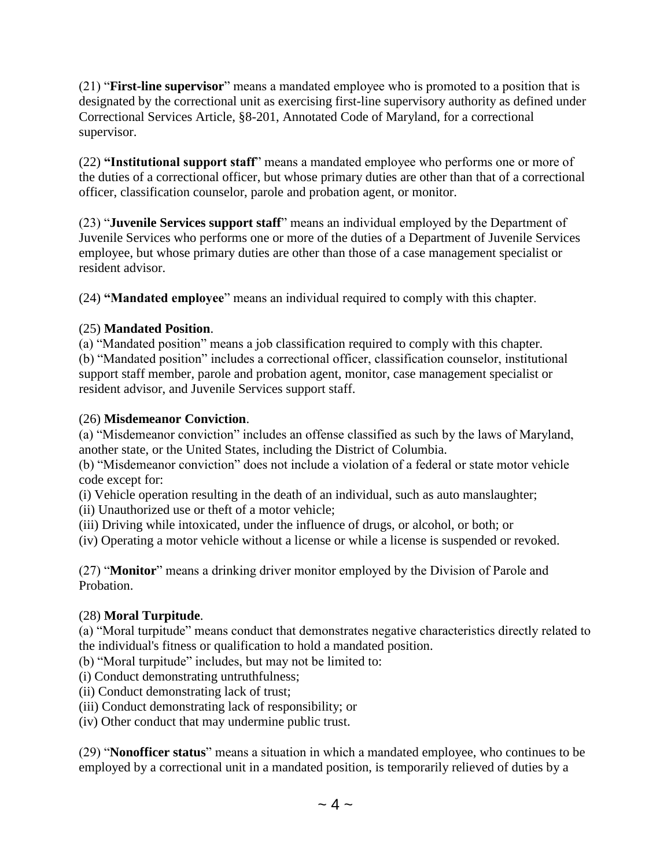(21) "**First-line supervisor**" means a mandated employee who is promoted to a position that is designated by the correctional unit as exercising first-line supervisory authority as defined under Correctional Services Article, §8-201, Annotated Code of Maryland, for a correctional supervisor.

(22) **"Institutional support staff**" means a mandated employee who performs one or more of the duties of a correctional officer, but whose primary duties are other than that of a correctional officer, classification counselor, parole and probation agent, or monitor.

(23) "**Juvenile Services support staff**" means an individual employed by the Department of Juvenile Services who performs one or more of the duties of a Department of Juvenile Services employee, but whose primary duties are other than those of a case management specialist or resident advisor.

(24) **"Mandated employee**" means an individual required to comply with this chapter.

## (25) **Mandated Position**.

(a) "Mandated position" means a job classification required to comply with this chapter. (b) "Mandated position" includes a correctional officer, classification counselor, institutional support staff member, parole and probation agent, monitor, case management specialist or resident advisor, and Juvenile Services support staff.

# (26) **Misdemeanor Conviction**.

(a) "Misdemeanor conviction" includes an offense classified as such by the laws of Maryland, another state, or the United States, including the District of Columbia.

(b) "Misdemeanor conviction" does not include a violation of a federal or state motor vehicle code except for:

(i) Vehicle operation resulting in the death of an individual, such as auto manslaughter;

(ii) Unauthorized use or theft of a motor vehicle;

(iii) Driving while intoxicated, under the influence of drugs, or alcohol, or both; or

(iv) Operating a motor vehicle without a license or while a license is suspended or revoked.

(27) "**Monitor**" means a drinking driver monitor employed by the Division of Parole and Probation.

# (28) **Moral Turpitude**.

(a) "Moral turpitude" means conduct that demonstrates negative characteristics directly related to the individual's fitness or qualification to hold a mandated position.

(b) "Moral turpitude" includes, but may not be limited to:

(i) Conduct demonstrating untruthfulness;

(ii) Conduct demonstrating lack of trust;

(iii) Conduct demonstrating lack of responsibility; or

(iv) Other conduct that may undermine public trust.

(29) "**Nonofficer status**" means a situation in which a mandated employee, who continues to be employed by a correctional unit in a mandated position, is temporarily relieved of duties by a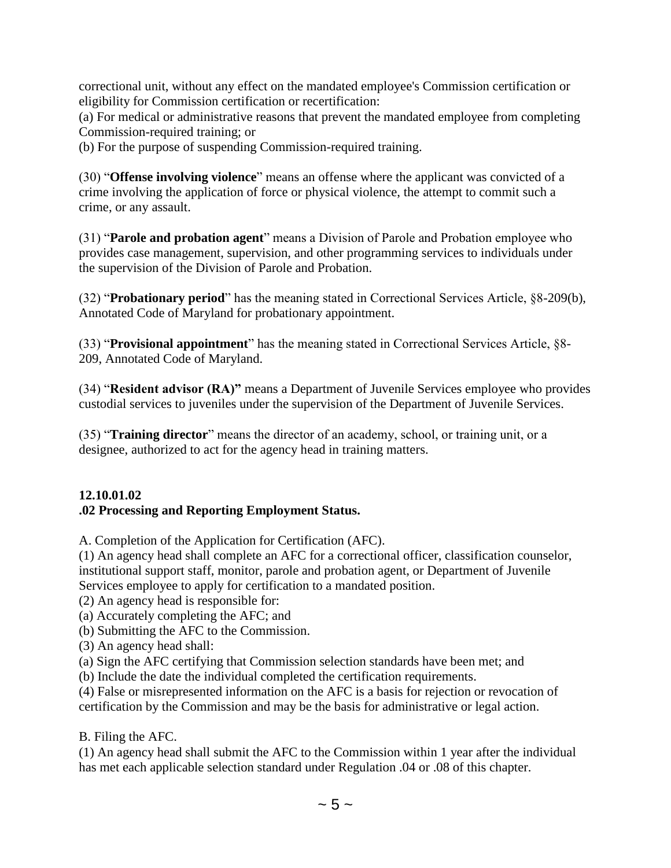correctional unit, without any effect on the mandated employee's Commission certification or eligibility for Commission certification or recertification:

(a) For medical or administrative reasons that prevent the mandated employee from completing Commission-required training; or

(b) For the purpose of suspending Commission-required training.

(30) "**Offense involving violence**" means an offense where the applicant was convicted of a crime involving the application of force or physical violence, the attempt to commit such a crime, or any assault.

(31) "**Parole and probation agent**" means a Division of Parole and Probation employee who provides case management, supervision, and other programming services to individuals under the supervision of the Division of Parole and Probation.

(32) "**Probationary period**" has the meaning stated in Correctional Services Article, §8-209(b), Annotated Code of Maryland for probationary appointment.

(33) "**Provisional appointment**" has the meaning stated in Correctional Services Article, §8- 209, Annotated Code of Maryland.

(34) "**Resident advisor (RA)"** means a Department of Juvenile Services employee who provides custodial services to juveniles under the supervision of the Department of Juvenile Services.

(35) "**Training director**" means the director of an academy, school, or training unit, or a designee, authorized to act for the agency head in training matters.

#### **12.10.01.02 .02 Processing and Reporting Employment Status.**

A. Completion of the Application for Certification (AFC).

(1) An agency head shall complete an AFC for a correctional officer, classification counselor, institutional support staff, monitor, parole and probation agent, or Department of Juvenile Services employee to apply for certification to a mandated position.

(2) An agency head is responsible for:

(a) Accurately completing the AFC; and

- (b) Submitting the AFC to the Commission.
- (3) An agency head shall:
- (a) Sign the AFC certifying that Commission selection standards have been met; and
- (b) Include the date the individual completed the certification requirements.

(4) False or misrepresented information on the AFC is a basis for rejection or revocation of certification by the Commission and may be the basis for administrative or legal action.

B. Filing the AFC.

(1) An agency head shall submit the AFC to the Commission within 1 year after the individual has met each applicable selection standard under Regulation .04 or .08 of this chapter.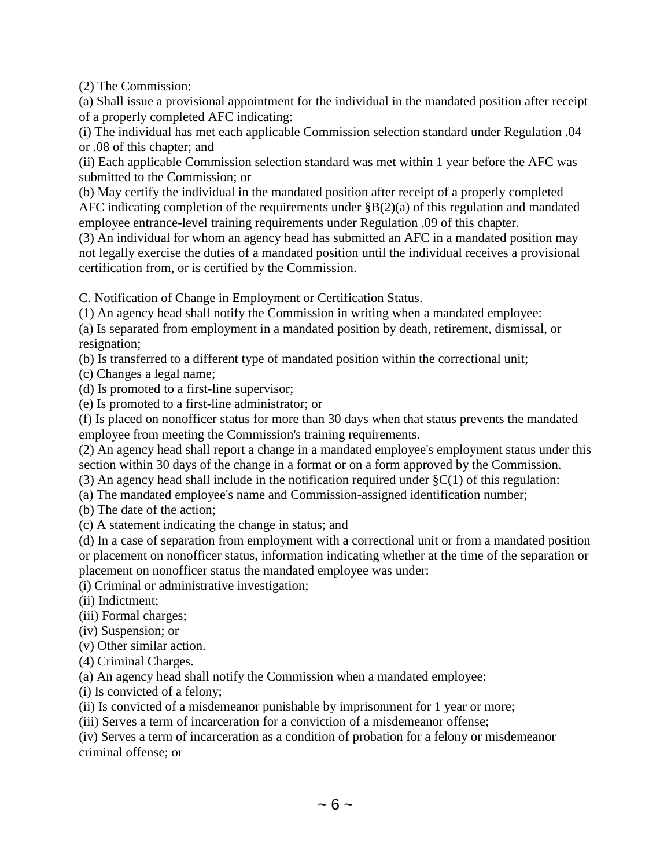(2) The Commission:

(a) Shall issue a provisional appointment for the individual in the mandated position after receipt of a properly completed AFC indicating:

(i) The individual has met each applicable Commission selection standard under Regulation .04 or .08 of this chapter; and

(ii) Each applicable Commission selection standard was met within 1 year before the AFC was submitted to the Commission; or

(b) May certify the individual in the mandated position after receipt of a properly completed AFC indicating completion of the requirements under §B(2)(a) of this regulation and mandated employee entrance-level training requirements under Regulation .09 of this chapter.

(3) An individual for whom an agency head has submitted an AFC in a mandated position may not legally exercise the duties of a mandated position until the individual receives a provisional certification from, or is certified by the Commission.

C. Notification of Change in Employment or Certification Status.

(1) An agency head shall notify the Commission in writing when a mandated employee:

(a) Is separated from employment in a mandated position by death, retirement, dismissal, or resignation;

(b) Is transferred to a different type of mandated position within the correctional unit;

(c) Changes a legal name;

(d) Is promoted to a first-line supervisor;

(e) Is promoted to a first-line administrator; or

(f) Is placed on nonofficer status for more than 30 days when that status prevents the mandated employee from meeting the Commission's training requirements.

(2) An agency head shall report a change in a mandated employee's employment status under this section within 30 days of the change in a format or on a form approved by the Commission.

(3) An agency head shall include in the notification required under  $\S C(1)$  of this regulation:

(a) The mandated employee's name and Commission-assigned identification number;

(b) The date of the action;

(c) A statement indicating the change in status; and

(d) In a case of separation from employment with a correctional unit or from a mandated position or placement on nonofficer status, information indicating whether at the time of the separation or placement on nonofficer status the mandated employee was under:

(i) Criminal or administrative investigation;

(ii) Indictment;

(iii) Formal charges;

(iv) Suspension; or

(v) Other similar action.

(4) Criminal Charges.

(a) An agency head shall notify the Commission when a mandated employee:

(i) Is convicted of a felony;

(ii) Is convicted of a misdemeanor punishable by imprisonment for 1 year or more;

(iii) Serves a term of incarceration for a conviction of a misdemeanor offense;

(iv) Serves a term of incarceration as a condition of probation for a felony or misdemeanor criminal offense; or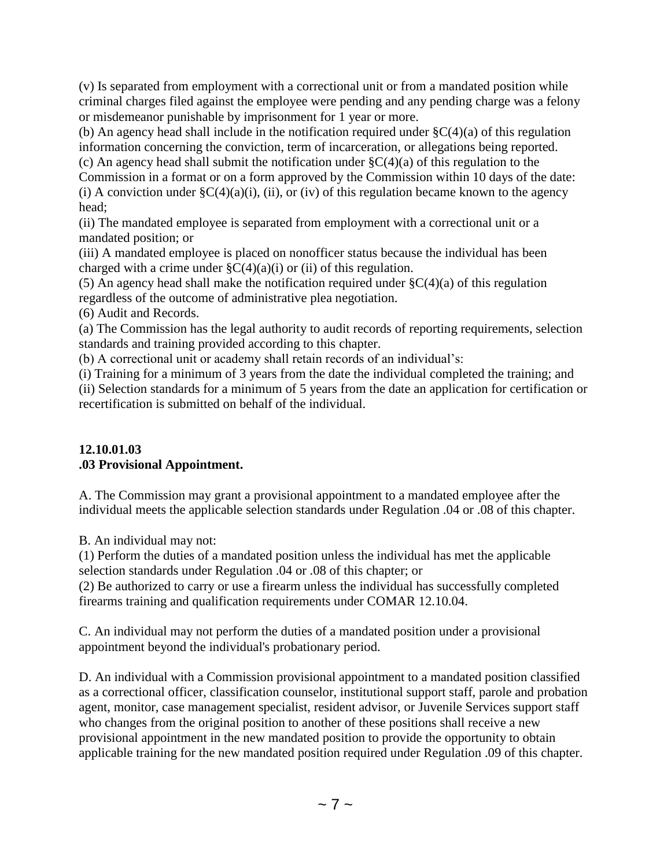(v) Is separated from employment with a correctional unit or from a mandated position while criminal charges filed against the employee were pending and any pending charge was a felony or misdemeanor punishable by imprisonment for 1 year or more.

(b) An agency head shall include in the notification required under  $\S C(4)(a)$  of this regulation information concerning the conviction, term of incarceration, or allegations being reported.

(c) An agency head shall submit the notification under  $\zeta(4)(a)$  of this regulation to the

Commission in a format or on a form approved by the Commission within 10 days of the date: (i) A conviction under  $\zeta C(4)(a)(i)$ , (ii), or (iv) of this regulation became known to the agency head;

(ii) The mandated employee is separated from employment with a correctional unit or a mandated position; or

(iii) A mandated employee is placed on nonofficer status because the individual has been charged with a crime under  $\zeta$ C(4)(a)(i) or (ii) of this regulation.

(5) An agency head shall make the notification required under  $\zeta C(4)(a)$  of this regulation regardless of the outcome of administrative plea negotiation.

(6) Audit and Records.

(a) The Commission has the legal authority to audit records of reporting requirements, selection standards and training provided according to this chapter.

(b) A correctional unit or academy shall retain records of an individual's:

(i) Training for a minimum of 3 years from the date the individual completed the training; and (ii) Selection standards for a minimum of 5 years from the date an application for certification or recertification is submitted on behalf of the individual.

## **12.10.01.03 .03 Provisional Appointment.**

A. The Commission may grant a provisional appointment to a mandated employee after the individual meets the applicable selection standards under Regulation .04 or .08 of this chapter.

B. An individual may not:

(1) Perform the duties of a mandated position unless the individual has met the applicable selection standards under Regulation .04 or .08 of this chapter; or

(2) Be authorized to carry or use a firearm unless the individual has successfully completed firearms training and qualification requirements under COMAR 12.10.04.

C. An individual may not perform the duties of a mandated position under a provisional appointment beyond the individual's probationary period.

D. An individual with a Commission provisional appointment to a mandated position classified as a correctional officer, classification counselor, institutional support staff, parole and probation agent, monitor, case management specialist, resident advisor, or Juvenile Services support staff who changes from the original position to another of these positions shall receive a new provisional appointment in the new mandated position to provide the opportunity to obtain applicable training for the new mandated position required under Regulation .09 of this chapter.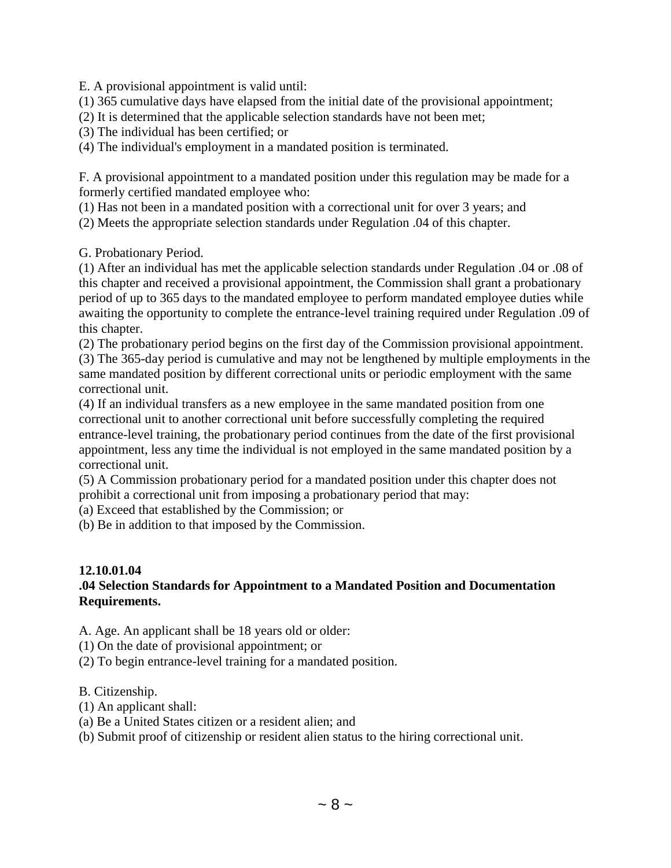E. A provisional appointment is valid until:

(1) 365 cumulative days have elapsed from the initial date of the provisional appointment;

(2) It is determined that the applicable selection standards have not been met;

(3) The individual has been certified; or

(4) The individual's employment in a mandated position is terminated.

F. A provisional appointment to a mandated position under this regulation may be made for a formerly certified mandated employee who:

(1) Has not been in a mandated position with a correctional unit for over 3 years; and

(2) Meets the appropriate selection standards under Regulation .04 of this chapter.

G. Probationary Period.

(1) After an individual has met the applicable selection standards under Regulation .04 or .08 of this chapter and received a provisional appointment, the Commission shall grant a probationary period of up to 365 days to the mandated employee to perform mandated employee duties while awaiting the opportunity to complete the entrance-level training required under Regulation .09 of this chapter.

(2) The probationary period begins on the first day of the Commission provisional appointment. (3) The 365-day period is cumulative and may not be lengthened by multiple employments in the same mandated position by different correctional units or periodic employment with the same correctional unit.

(4) If an individual transfers as a new employee in the same mandated position from one correctional unit to another correctional unit before successfully completing the required entrance-level training, the probationary period continues from the date of the first provisional appointment, less any time the individual is not employed in the same mandated position by a correctional unit.

(5) A Commission probationary period for a mandated position under this chapter does not prohibit a correctional unit from imposing a probationary period that may:

(a) Exceed that established by the Commission; or

(b) Be in addition to that imposed by the Commission.

#### **12.10.01.04 .04 Selection Standards for Appointment to a Mandated Position and Documentation Requirements.**

A. Age. An applicant shall be 18 years old or older:

(1) On the date of provisional appointment; or

(2) To begin entrance-level training for a mandated position.

B. Citizenship.

- (1) An applicant shall:
- (a) Be a United States citizen or a resident alien; and

(b) Submit proof of citizenship or resident alien status to the hiring correctional unit.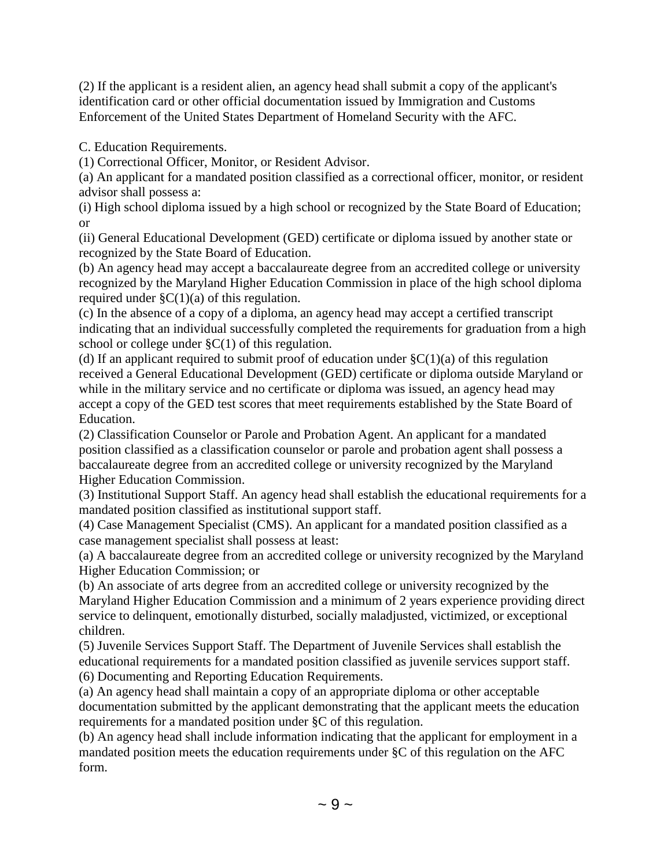(2) If the applicant is a resident alien, an agency head shall submit a copy of the applicant's identification card or other official documentation issued by Immigration and Customs Enforcement of the United States Department of Homeland Security with the AFC.

C. Education Requirements.

(1) Correctional Officer, Monitor, or Resident Advisor.

(a) An applicant for a mandated position classified as a correctional officer, monitor, or resident advisor shall possess a:

(i) High school diploma issued by a high school or recognized by the State Board of Education; or

(ii) General Educational Development (GED) certificate or diploma issued by another state or recognized by the State Board of Education.

(b) An agency head may accept a baccalaureate degree from an accredited college or university recognized by the Maryland Higher Education Commission in place of the high school diploma required under  $\zeta(1)(a)$  of this regulation.

(c) In the absence of a copy of a diploma, an agency head may accept a certified transcript indicating that an individual successfully completed the requirements for graduation from a high school or college under  $\S C(1)$  of this regulation.

(d) If an applicant required to submit proof of education under  $\S C(1)(a)$  of this regulation received a General Educational Development (GED) certificate or diploma outside Maryland or while in the military service and no certificate or diploma was issued, an agency head may accept a copy of the GED test scores that meet requirements established by the State Board of Education.

(2) Classification Counselor or Parole and Probation Agent. An applicant for a mandated position classified as a classification counselor or parole and probation agent shall possess a baccalaureate degree from an accredited college or university recognized by the Maryland Higher Education Commission.

(3) Institutional Support Staff. An agency head shall establish the educational requirements for a mandated position classified as institutional support staff.

(4) Case Management Specialist (CMS). An applicant for a mandated position classified as a case management specialist shall possess at least:

(a) A baccalaureate degree from an accredited college or university recognized by the Maryland Higher Education Commission; or

(b) An associate of arts degree from an accredited college or university recognized by the Maryland Higher Education Commission and a minimum of 2 years experience providing direct service to delinquent, emotionally disturbed, socially maladjusted, victimized, or exceptional children.

(5) Juvenile Services Support Staff. The Department of Juvenile Services shall establish the educational requirements for a mandated position classified as juvenile services support staff. (6) Documenting and Reporting Education Requirements.

(a) An agency head shall maintain a copy of an appropriate diploma or other acceptable documentation submitted by the applicant demonstrating that the applicant meets the education requirements for a mandated position under §C of this regulation.

(b) An agency head shall include information indicating that the applicant for employment in a mandated position meets the education requirements under §C of this regulation on the AFC form.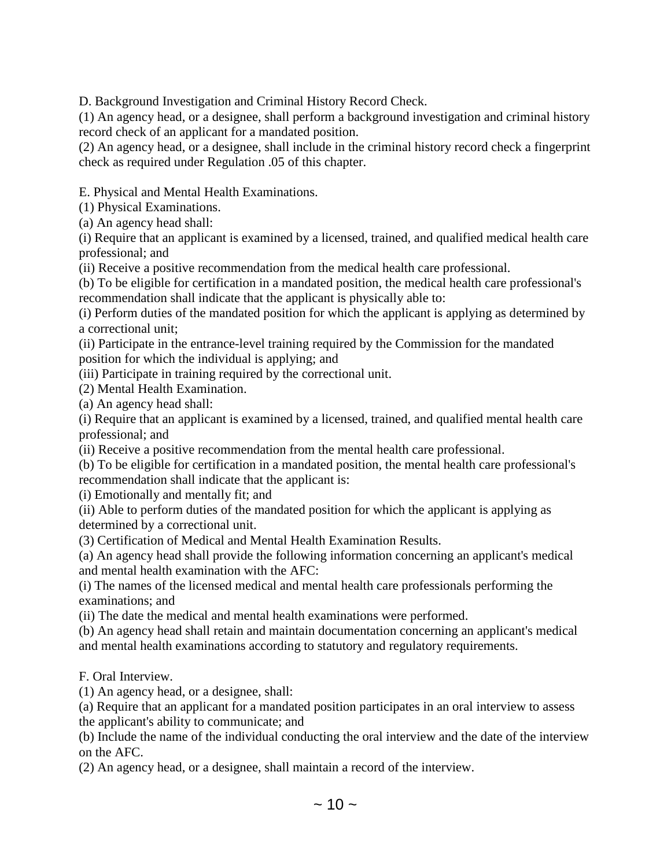D. Background Investigation and Criminal History Record Check.

(1) An agency head, or a designee, shall perform a background investigation and criminal history record check of an applicant for a mandated position.

(2) An agency head, or a designee, shall include in the criminal history record check a fingerprint check as required under Regulation .05 of this chapter.

E. Physical and Mental Health Examinations.

(1) Physical Examinations.

(a) An agency head shall:

(i) Require that an applicant is examined by a licensed, trained, and qualified medical health care professional; and

(ii) Receive a positive recommendation from the medical health care professional.

(b) To be eligible for certification in a mandated position, the medical health care professional's recommendation shall indicate that the applicant is physically able to:

(i) Perform duties of the mandated position for which the applicant is applying as determined by a correctional unit;

(ii) Participate in the entrance-level training required by the Commission for the mandated position for which the individual is applying; and

(iii) Participate in training required by the correctional unit.

(2) Mental Health Examination.

(a) An agency head shall:

(i) Require that an applicant is examined by a licensed, trained, and qualified mental health care professional; and

(ii) Receive a positive recommendation from the mental health care professional.

(b) To be eligible for certification in a mandated position, the mental health care professional's recommendation shall indicate that the applicant is:

(i) Emotionally and mentally fit; and

(ii) Able to perform duties of the mandated position for which the applicant is applying as determined by a correctional unit.

(3) Certification of Medical and Mental Health Examination Results.

(a) An agency head shall provide the following information concerning an applicant's medical and mental health examination with the AFC:

(i) The names of the licensed medical and mental health care professionals performing the examinations; and

(ii) The date the medical and mental health examinations were performed.

(b) An agency head shall retain and maintain documentation concerning an applicant's medical and mental health examinations according to statutory and regulatory requirements.

F. Oral Interview.

(1) An agency head, or a designee, shall:

(a) Require that an applicant for a mandated position participates in an oral interview to assess the applicant's ability to communicate; and

(b) Include the name of the individual conducting the oral interview and the date of the interview on the AFC.

(2) An agency head, or a designee, shall maintain a record of the interview.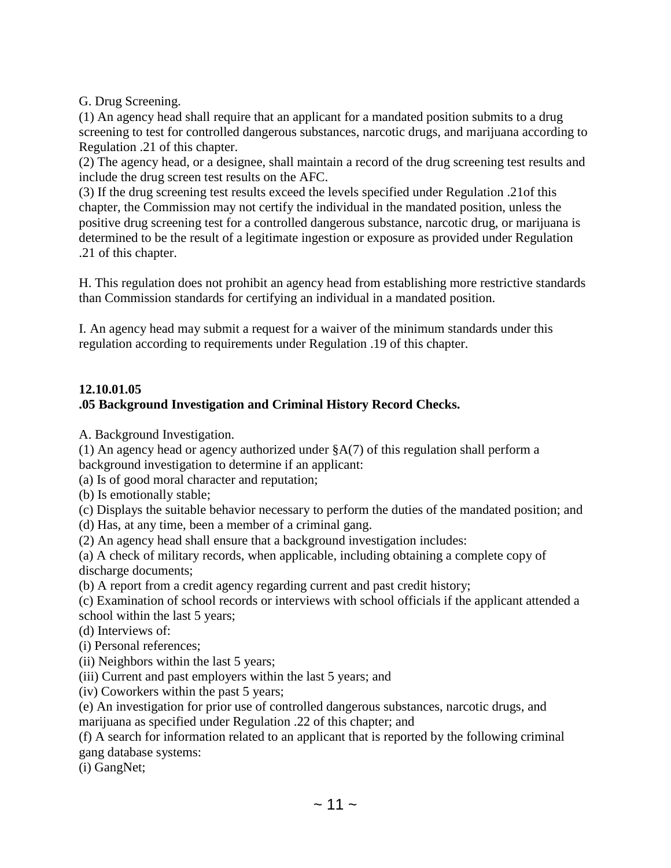G. Drug Screening.

(1) An agency head shall require that an applicant for a mandated position submits to a drug screening to test for controlled dangerous substances, narcotic drugs, and marijuana according to Regulation .21 of this chapter.

(2) The agency head, or a designee, shall maintain a record of the drug screening test results and include the drug screen test results on the AFC.

(3) If the drug screening test results exceed the levels specified under Regulation .21of this chapter, the Commission may not certify the individual in the mandated position, unless the positive drug screening test for a controlled dangerous substance, narcotic drug, or marijuana is determined to be the result of a legitimate ingestion or exposure as provided under Regulation .21 of this chapter.

H. This regulation does not prohibit an agency head from establishing more restrictive standards than Commission standards for certifying an individual in a mandated position.

I. An agency head may submit a request for a waiver of the minimum standards under this regulation according to requirements under Regulation .19 of this chapter.

#### **12.10.01.05 .05 Background Investigation and Criminal History Record Checks.**

A. Background Investigation.

(1) An agency head or agency authorized under §A(7) of this regulation shall perform a background investigation to determine if an applicant:

(a) Is of good moral character and reputation;

(b) Is emotionally stable;

(c) Displays the suitable behavior necessary to perform the duties of the mandated position; and

(d) Has, at any time, been a member of a criminal gang.

(2) An agency head shall ensure that a background investigation includes:

(a) A check of military records, when applicable, including obtaining a complete copy of discharge documents;

(b) A report from a credit agency regarding current and past credit history;

(c) Examination of school records or interviews with school officials if the applicant attended a school within the last 5 years;

(d) Interviews of:

(i) Personal references;

(ii) Neighbors within the last 5 years;

(iii) Current and past employers within the last 5 years; and

(iv) Coworkers within the past 5 years;

(e) An investigation for prior use of controlled dangerous substances, narcotic drugs, and marijuana as specified under Regulation .22 of this chapter; and

(f) A search for information related to an applicant that is reported by the following criminal gang database systems:

(i) GangNet;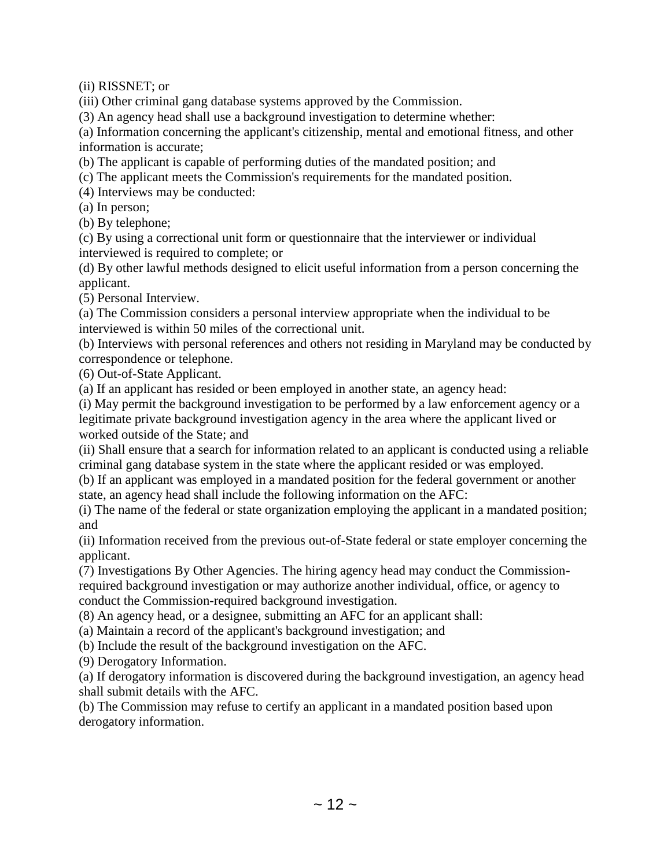(ii) RISSNET; or

(iii) Other criminal gang database systems approved by the Commission.

(3) An agency head shall use a background investigation to determine whether:

(a) Information concerning the applicant's citizenship, mental and emotional fitness, and other information is accurate;

(b) The applicant is capable of performing duties of the mandated position; and

(c) The applicant meets the Commission's requirements for the mandated position.

(4) Interviews may be conducted:

(a) In person;

(b) By telephone;

(c) By using a correctional unit form or questionnaire that the interviewer or individual interviewed is required to complete; or

(d) By other lawful methods designed to elicit useful information from a person concerning the applicant.

(5) Personal Interview.

(a) The Commission considers a personal interview appropriate when the individual to be interviewed is within 50 miles of the correctional unit.

(b) Interviews with personal references and others not residing in Maryland may be conducted by correspondence or telephone.

(6) Out-of-State Applicant.

(a) If an applicant has resided or been employed in another state, an agency head:

(i) May permit the background investigation to be performed by a law enforcement agency or a legitimate private background investigation agency in the area where the applicant lived or worked outside of the State; and

(ii) Shall ensure that a search for information related to an applicant is conducted using a reliable criminal gang database system in the state where the applicant resided or was employed.

(b) If an applicant was employed in a mandated position for the federal government or another state, an agency head shall include the following information on the AFC:

(i) The name of the federal or state organization employing the applicant in a mandated position; and

(ii) Information received from the previous out-of-State federal or state employer concerning the applicant.

(7) Investigations By Other Agencies. The hiring agency head may conduct the Commission-

required background investigation or may authorize another individual, office, or agency to conduct the Commission-required background investigation.

(8) An agency head, or a designee, submitting an AFC for an applicant shall:

(a) Maintain a record of the applicant's background investigation; and

(b) Include the result of the background investigation on the AFC.

(9) Derogatory Information.

(a) If derogatory information is discovered during the background investigation, an agency head shall submit details with the AFC.

(b) The Commission may refuse to certify an applicant in a mandated position based upon derogatory information.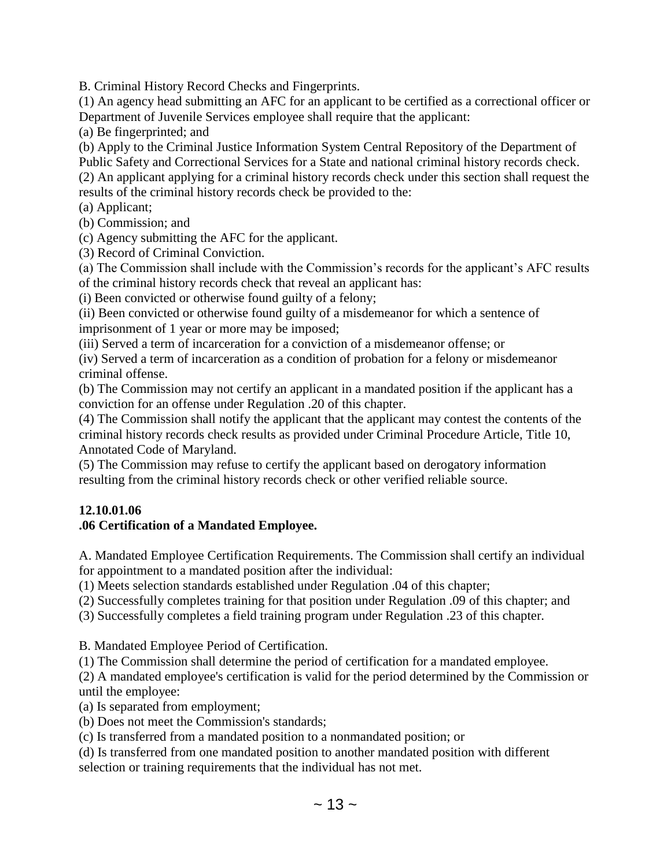B. Criminal History Record Checks and Fingerprints.

(1) An agency head submitting an AFC for an applicant to be certified as a correctional officer or Department of Juvenile Services employee shall require that the applicant:

(a) Be fingerprinted; and

(b) Apply to the Criminal Justice Information System Central Repository of the Department of

Public Safety and Correctional Services for a State and national criminal history records check.

(2) An applicant applying for a criminal history records check under this section shall request the results of the criminal history records check be provided to the:

(a) Applicant;

(b) Commission; and

(c) Agency submitting the AFC for the applicant.

(3) Record of Criminal Conviction.

(a) The Commission shall include with the Commission's records for the applicant's AFC results of the criminal history records check that reveal an applicant has:

(i) Been convicted or otherwise found guilty of a felony;

(ii) Been convicted or otherwise found guilty of a misdemeanor for which a sentence of imprisonment of 1 year or more may be imposed;

(iii) Served a term of incarceration for a conviction of a misdemeanor offense; or

(iv) Served a term of incarceration as a condition of probation for a felony or misdemeanor criminal offense.

(b) The Commission may not certify an applicant in a mandated position if the applicant has a conviction for an offense under Regulation .20 of this chapter.

(4) The Commission shall notify the applicant that the applicant may contest the contents of the criminal history records check results as provided under Criminal Procedure Article, Title 10, Annotated Code of Maryland.

(5) The Commission may refuse to certify the applicant based on derogatory information resulting from the criminal history records check or other verified reliable source.

## **12.10.01.06**

## **.06 Certification of a Mandated Employee.**

A. Mandated Employee Certification Requirements. The Commission shall certify an individual for appointment to a mandated position after the individual:

(1) Meets selection standards established under Regulation .04 of this chapter;

(2) Successfully completes training for that position under Regulation .09 of this chapter; and

(3) Successfully completes a field training program under Regulation .23 of this chapter.

B. Mandated Employee Period of Certification.

(1) The Commission shall determine the period of certification for a mandated employee.

(2) A mandated employee's certification is valid for the period determined by the Commission or until the employee:

(a) Is separated from employment;

(b) Does not meet the Commission's standards;

(c) Is transferred from a mandated position to a nonmandated position; or

(d) Is transferred from one mandated position to another mandated position with different selection or training requirements that the individual has not met.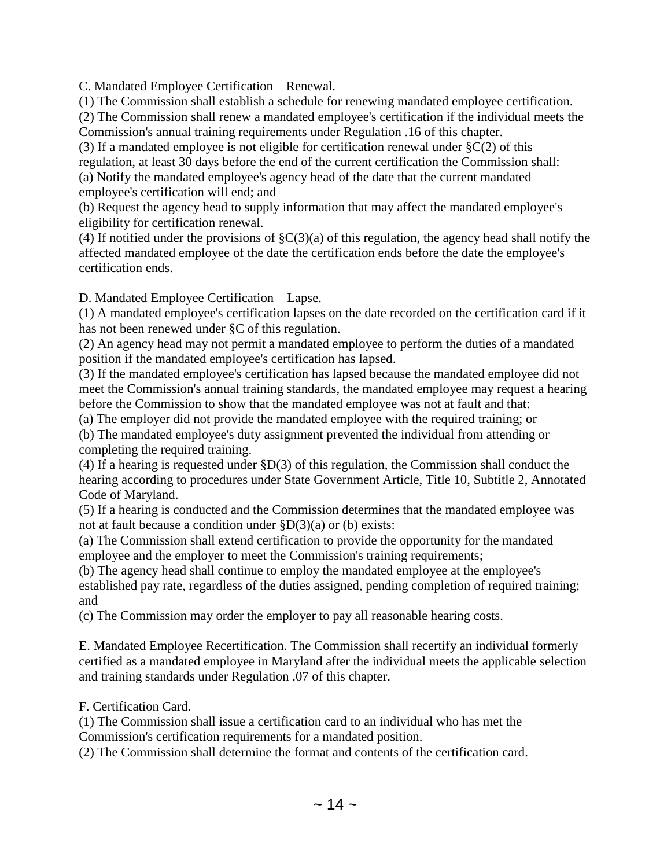C. Mandated Employee Certification—Renewal.

(1) The Commission shall establish a schedule for renewing mandated employee certification.

(2) The Commission shall renew a mandated employee's certification if the individual meets the Commission's annual training requirements under Regulation .16 of this chapter.

(3) If a mandated employee is not eligible for certification renewal under  $\S C(2)$  of this regulation, at least 30 days before the end of the current certification the Commission shall: (a) Notify the mandated employee's agency head of the date that the current mandated employee's certification will end; and

(b) Request the agency head to supply information that may affect the mandated employee's eligibility for certification renewal.

(4) If notified under the provisions of  $\zeta(3)(a)$  of this regulation, the agency head shall notify the affected mandated employee of the date the certification ends before the date the employee's certification ends.

D. Mandated Employee Certification—Lapse.

(1) A mandated employee's certification lapses on the date recorded on the certification card if it has not been renewed under §C of this regulation.

(2) An agency head may not permit a mandated employee to perform the duties of a mandated position if the mandated employee's certification has lapsed.

(3) If the mandated employee's certification has lapsed because the mandated employee did not meet the Commission's annual training standards, the mandated employee may request a hearing before the Commission to show that the mandated employee was not at fault and that:

(a) The employer did not provide the mandated employee with the required training; or

(b) The mandated employee's duty assignment prevented the individual from attending or completing the required training.

(4) If a hearing is requested under §D(3) of this regulation, the Commission shall conduct the hearing according to procedures under State Government Article, Title 10, Subtitle 2, Annotated Code of Maryland.

(5) If a hearing is conducted and the Commission determines that the mandated employee was not at fault because a condition under §D(3)(a) or (b) exists:

(a) The Commission shall extend certification to provide the opportunity for the mandated employee and the employer to meet the Commission's training requirements;

(b) The agency head shall continue to employ the mandated employee at the employee's established pay rate, regardless of the duties assigned, pending completion of required training; and

(c) The Commission may order the employer to pay all reasonable hearing costs.

E. Mandated Employee Recertification. The Commission shall recertify an individual formerly certified as a mandated employee in Maryland after the individual meets the applicable selection and training standards under Regulation .07 of this chapter.

F. Certification Card.

(1) The Commission shall issue a certification card to an individual who has met the

Commission's certification requirements for a mandated position.

(2) The Commission shall determine the format and contents of the certification card.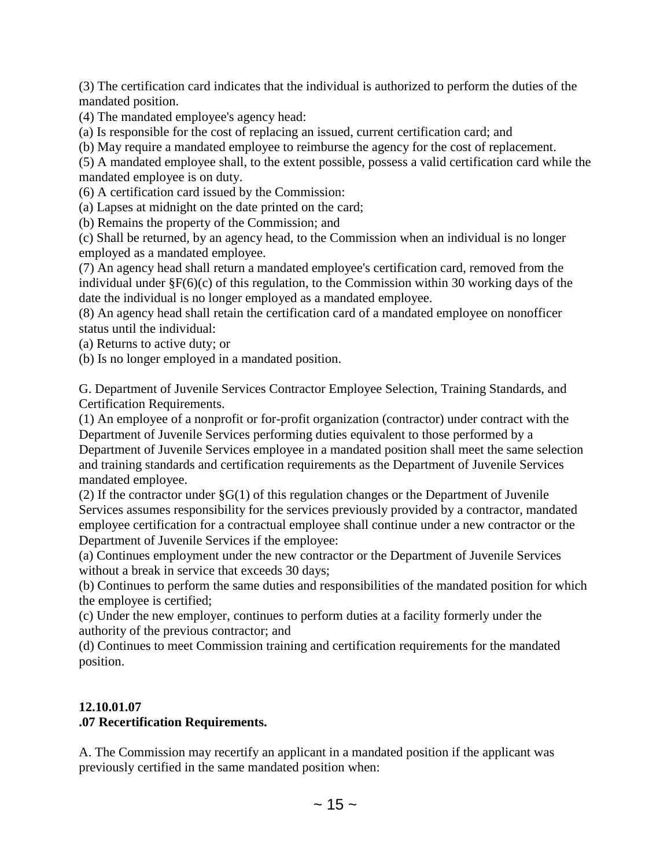(3) The certification card indicates that the individual is authorized to perform the duties of the mandated position.

(4) The mandated employee's agency head:

(a) Is responsible for the cost of replacing an issued, current certification card; and

(b) May require a mandated employee to reimburse the agency for the cost of replacement.

(5) A mandated employee shall, to the extent possible, possess a valid certification card while the mandated employee is on duty.

(6) A certification card issued by the Commission:

(a) Lapses at midnight on the date printed on the card;

(b) Remains the property of the Commission; and

(c) Shall be returned, by an agency head, to the Commission when an individual is no longer employed as a mandated employee.

(7) An agency head shall return a mandated employee's certification card, removed from the individual under §F(6)(c) of this regulation, to the Commission within 30 working days of the date the individual is no longer employed as a mandated employee.

(8) An agency head shall retain the certification card of a mandated employee on nonofficer status until the individual:

(a) Returns to active duty; or

(b) Is no longer employed in a mandated position.

G. Department of Juvenile Services Contractor Employee Selection, Training Standards, and Certification Requirements.

(1) An employee of a nonprofit or for-profit organization (contractor) under contract with the Department of Juvenile Services performing duties equivalent to those performed by a Department of Juvenile Services employee in a mandated position shall meet the same selection and training standards and certification requirements as the Department of Juvenile Services mandated employee.

(2) If the contractor under  $\S G(1)$  of this regulation changes or the Department of Juvenile Services assumes responsibility for the services previously provided by a contractor, mandated employee certification for a contractual employee shall continue under a new contractor or the Department of Juvenile Services if the employee:

(a) Continues employment under the new contractor or the Department of Juvenile Services without a break in service that exceeds 30 days;

(b) Continues to perform the same duties and responsibilities of the mandated position for which the employee is certified;

(c) Under the new employer, continues to perform duties at a facility formerly under the authority of the previous contractor; and

(d) Continues to meet Commission training and certification requirements for the mandated position.

## **12.10.01.07**

## **.07 Recertification Requirements.**

A. The Commission may recertify an applicant in a mandated position if the applicant was previously certified in the same mandated position when: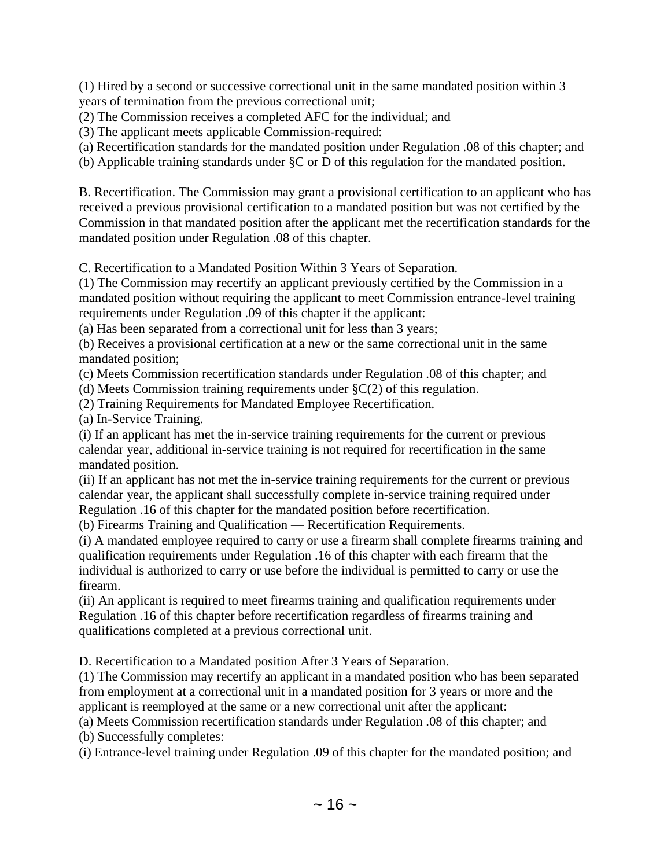(1) Hired by a second or successive correctional unit in the same mandated position within 3 years of termination from the previous correctional unit;

(2) The Commission receives a completed AFC for the individual; and

(3) The applicant meets applicable Commission-required:

(a) Recertification standards for the mandated position under Regulation .08 of this chapter; and

(b) Applicable training standards under §C or D of this regulation for the mandated position.

B. Recertification. The Commission may grant a provisional certification to an applicant who has received a previous provisional certification to a mandated position but was not certified by the Commission in that mandated position after the applicant met the recertification standards for the mandated position under Regulation .08 of this chapter.

C. Recertification to a Mandated Position Within 3 Years of Separation.

(1) The Commission may recertify an applicant previously certified by the Commission in a mandated position without requiring the applicant to meet Commission entrance-level training requirements under Regulation .09 of this chapter if the applicant:

(a) Has been separated from a correctional unit for less than 3 years;

(b) Receives a provisional certification at a new or the same correctional unit in the same mandated position;

(c) Meets Commission recertification standards under Regulation .08 of this chapter; and

(d) Meets Commission training requirements under §C(2) of this regulation.

(2) Training Requirements for Mandated Employee Recertification.

(a) In-Service Training.

(i) If an applicant has met the in-service training requirements for the current or previous calendar year, additional in-service training is not required for recertification in the same mandated position.

(ii) If an applicant has not met the in-service training requirements for the current or previous calendar year, the applicant shall successfully complete in-service training required under Regulation .16 of this chapter for the mandated position before recertification.

(b) Firearms Training and Qualification — Recertification Requirements.

(i) A mandated employee required to carry or use a firearm shall complete firearms training and qualification requirements under Regulation .16 of this chapter with each firearm that the individual is authorized to carry or use before the individual is permitted to carry or use the firearm.

(ii) An applicant is required to meet firearms training and qualification requirements under Regulation .16 of this chapter before recertification regardless of firearms training and qualifications completed at a previous correctional unit.

D. Recertification to a Mandated position After 3 Years of Separation.

(1) The Commission may recertify an applicant in a mandated position who has been separated from employment at a correctional unit in a mandated position for 3 years or more and the applicant is reemployed at the same or a new correctional unit after the applicant:

(a) Meets Commission recertification standards under Regulation .08 of this chapter; and

(b) Successfully completes:

(i) Entrance-level training under Regulation .09 of this chapter for the mandated position; and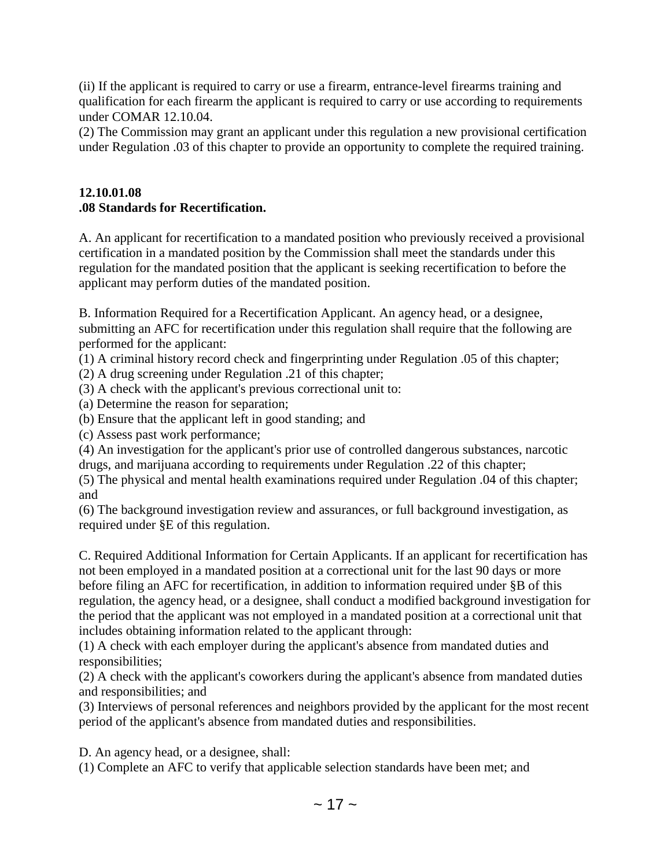(ii) If the applicant is required to carry or use a firearm, entrance-level firearms training and qualification for each firearm the applicant is required to carry or use according to requirements under COMAR 12.10.04.

(2) The Commission may grant an applicant under this regulation a new provisional certification under Regulation .03 of this chapter to provide an opportunity to complete the required training.

# **12.10.01.08 .08 Standards for Recertification.**

A. An applicant for recertification to a mandated position who previously received a provisional certification in a mandated position by the Commission shall meet the standards under this regulation for the mandated position that the applicant is seeking recertification to before the applicant may perform duties of the mandated position.

B. Information Required for a Recertification Applicant. An agency head, or a designee, submitting an AFC for recertification under this regulation shall require that the following are performed for the applicant:

(1) A criminal history record check and fingerprinting under Regulation .05 of this chapter;

(2) A drug screening under Regulation .21 of this chapter;

(3) A check with the applicant's previous correctional unit to:

(a) Determine the reason for separation;

(b) Ensure that the applicant left in good standing; and

(c) Assess past work performance;

(4) An investigation for the applicant's prior use of controlled dangerous substances, narcotic drugs, and marijuana according to requirements under Regulation .22 of this chapter;

(5) The physical and mental health examinations required under Regulation .04 of this chapter; and

(6) The background investigation review and assurances, or full background investigation, as required under §E of this regulation.

C. Required Additional Information for Certain Applicants. If an applicant for recertification has not been employed in a mandated position at a correctional unit for the last 90 days or more before filing an AFC for recertification, in addition to information required under §B of this regulation, the agency head, or a designee, shall conduct a modified background investigation for the period that the applicant was not employed in a mandated position at a correctional unit that includes obtaining information related to the applicant through:

(1) A check with each employer during the applicant's absence from mandated duties and responsibilities;

(2) A check with the applicant's coworkers during the applicant's absence from mandated duties and responsibilities; and

(3) Interviews of personal references and neighbors provided by the applicant for the most recent period of the applicant's absence from mandated duties and responsibilities.

D. An agency head, or a designee, shall:

(1) Complete an AFC to verify that applicable selection standards have been met; and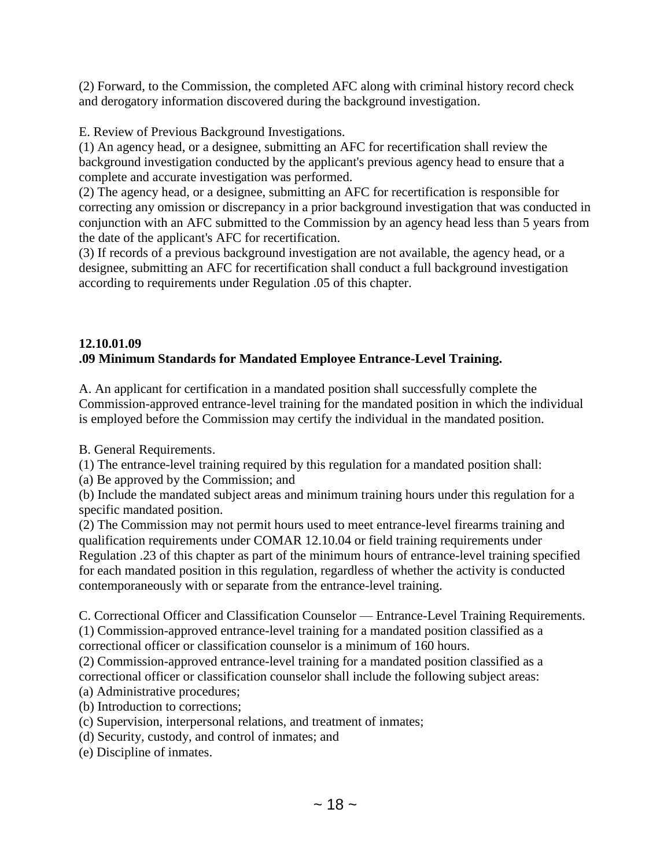(2) Forward, to the Commission, the completed AFC along with criminal history record check and derogatory information discovered during the background investigation.

E. Review of Previous Background Investigations.

(1) An agency head, or a designee, submitting an AFC for recertification shall review the background investigation conducted by the applicant's previous agency head to ensure that a complete and accurate investigation was performed.

(2) The agency head, or a designee, submitting an AFC for recertification is responsible for correcting any omission or discrepancy in a prior background investigation that was conducted in conjunction with an AFC submitted to the Commission by an agency head less than 5 years from the date of the applicant's AFC for recertification.

(3) If records of a previous background investigation are not available, the agency head, or a designee, submitting an AFC for recertification shall conduct a full background investigation according to requirements under Regulation .05 of this chapter.

# **12.10.01.09 .09 Minimum Standards for Mandated Employee Entrance-Level Training.**

A. An applicant for certification in a mandated position shall successfully complete the Commission-approved entrance-level training for the mandated position in which the individual is employed before the Commission may certify the individual in the mandated position.

B. General Requirements.

(1) The entrance-level training required by this regulation for a mandated position shall:

(a) Be approved by the Commission; and

(b) Include the mandated subject areas and minimum training hours under this regulation for a specific mandated position.

(2) The Commission may not permit hours used to meet entrance-level firearms training and qualification requirements under COMAR 12.10.04 or field training requirements under Regulation .23 of this chapter as part of the minimum hours of entrance-level training specified for each mandated position in this regulation, regardless of whether the activity is conducted contemporaneously with or separate from the entrance-level training.

C. Correctional Officer and Classification Counselor — Entrance-Level Training Requirements. (1) Commission-approved entrance-level training for a mandated position classified as a correctional officer or classification counselor is a minimum of 160 hours.

(2) Commission-approved entrance-level training for a mandated position classified as a correctional officer or classification counselor shall include the following subject areas:

(a) Administrative procedures;

(b) Introduction to corrections;

- (c) Supervision, interpersonal relations, and treatment of inmates;
- (d) Security, custody, and control of inmates; and
- (e) Discipline of inmates.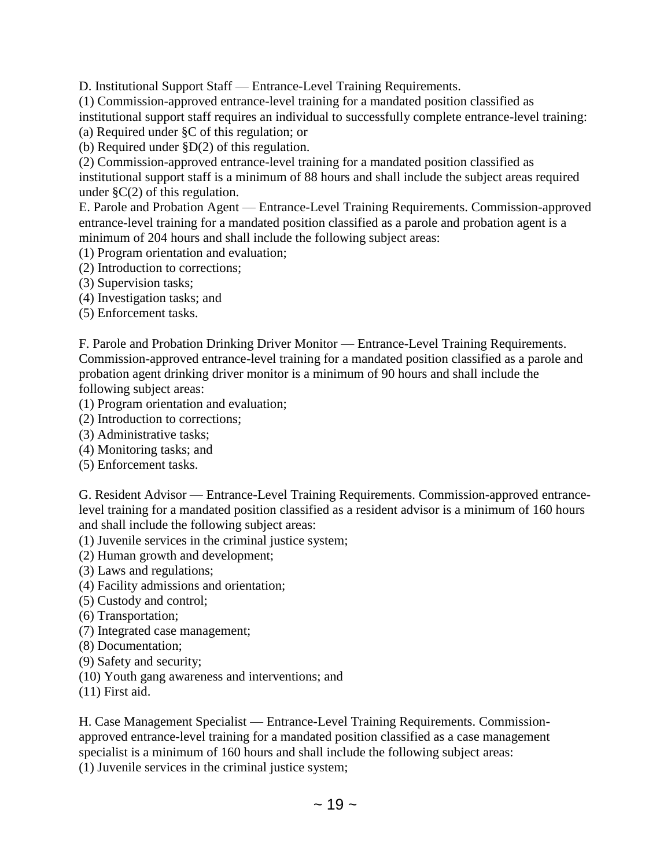D. Institutional Support Staff — Entrance-Level Training Requirements.

(1) Commission-approved entrance-level training for a mandated position classified as

institutional support staff requires an individual to successfully complete entrance-level training:

(a) Required under §C of this regulation; or

(b) Required under §D(2) of this regulation.

(2) Commission-approved entrance-level training for a mandated position classified as institutional support staff is a minimum of 88 hours and shall include the subject areas required under  $\S C(2)$  of this regulation.

E. Parole and Probation Agent — Entrance-Level Training Requirements. Commission-approved entrance-level training for a mandated position classified as a parole and probation agent is a minimum of 204 hours and shall include the following subject areas:

(1) Program orientation and evaluation;

- (2) Introduction to corrections;
- (3) Supervision tasks;

(4) Investigation tasks; and

(5) Enforcement tasks.

F. Parole and Probation Drinking Driver Monitor — Entrance-Level Training Requirements. Commission-approved entrance-level training for a mandated position classified as a parole and probation agent drinking driver monitor is a minimum of 90 hours and shall include the following subject areas:

- (1) Program orientation and evaluation;
- (2) Introduction to corrections;
- (3) Administrative tasks;
- (4) Monitoring tasks; and
- (5) Enforcement tasks.

G. Resident Advisor — Entrance-Level Training Requirements. Commission-approved entrancelevel training for a mandated position classified as a resident advisor is a minimum of 160 hours and shall include the following subject areas:

- (1) Juvenile services in the criminal justice system;
- (2) Human growth and development;
- (3) Laws and regulations;
- (4) Facility admissions and orientation;
- (5) Custody and control;
- (6) Transportation;
- (7) Integrated case management;
- (8) Documentation;
- (9) Safety and security;
- (10) Youth gang awareness and interventions; and
- (11) First aid.

H. Case Management Specialist — Entrance-Level Training Requirements. Commissionapproved entrance-level training for a mandated position classified as a case management specialist is a minimum of 160 hours and shall include the following subject areas:

(1) Juvenile services in the criminal justice system;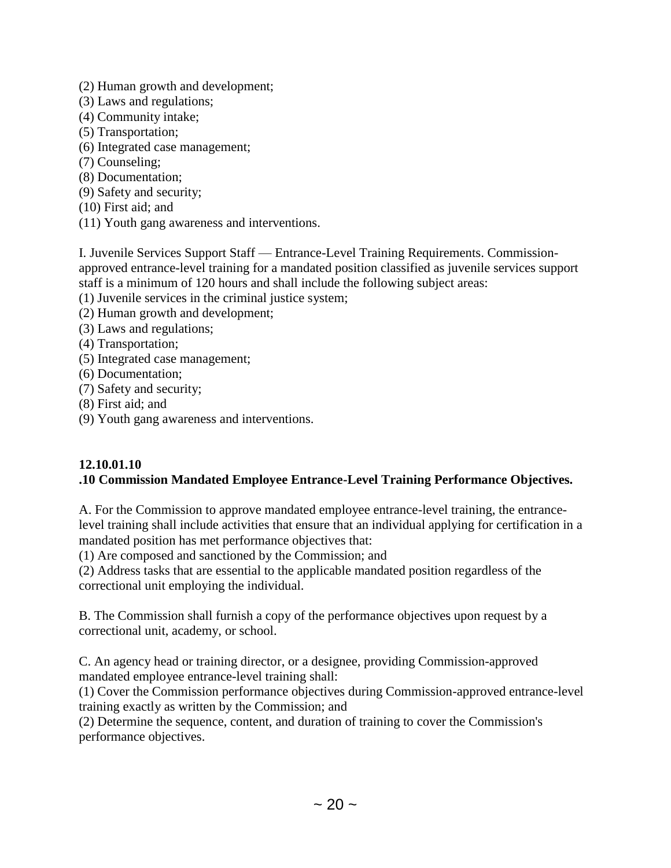- (2) Human growth and development;
- (3) Laws and regulations;
- (4) Community intake;
- (5) Transportation;
- (6) Integrated case management;
- (7) Counseling;
- (8) Documentation;
- (9) Safety and security;
- (10) First aid; and
- (11) Youth gang awareness and interventions.

I. Juvenile Services Support Staff — Entrance-Level Training Requirements. Commissionapproved entrance-level training for a mandated position classified as juvenile services support staff is a minimum of 120 hours and shall include the following subject areas:

- (1) Juvenile services in the criminal justice system;
- (2) Human growth and development;
- (3) Laws and regulations;
- (4) Transportation;
- (5) Integrated case management;
- (6) Documentation;
- (7) Safety and security;
- (8) First aid; and
- (9) Youth gang awareness and interventions.

#### **12.10.01.10 .10 Commission Mandated Employee Entrance-Level Training Performance Objectives.**

A. For the Commission to approve mandated employee entrance-level training, the entrancelevel training shall include activities that ensure that an individual applying for certification in a mandated position has met performance objectives that:

(1) Are composed and sanctioned by the Commission; and

(2) Address tasks that are essential to the applicable mandated position regardless of the correctional unit employing the individual.

B. The Commission shall furnish a copy of the performance objectives upon request by a correctional unit, academy, or school.

C. An agency head or training director, or a designee, providing Commission-approved mandated employee entrance-level training shall:

(1) Cover the Commission performance objectives during Commission-approved entrance-level training exactly as written by the Commission; and

(2) Determine the sequence, content, and duration of training to cover the Commission's performance objectives.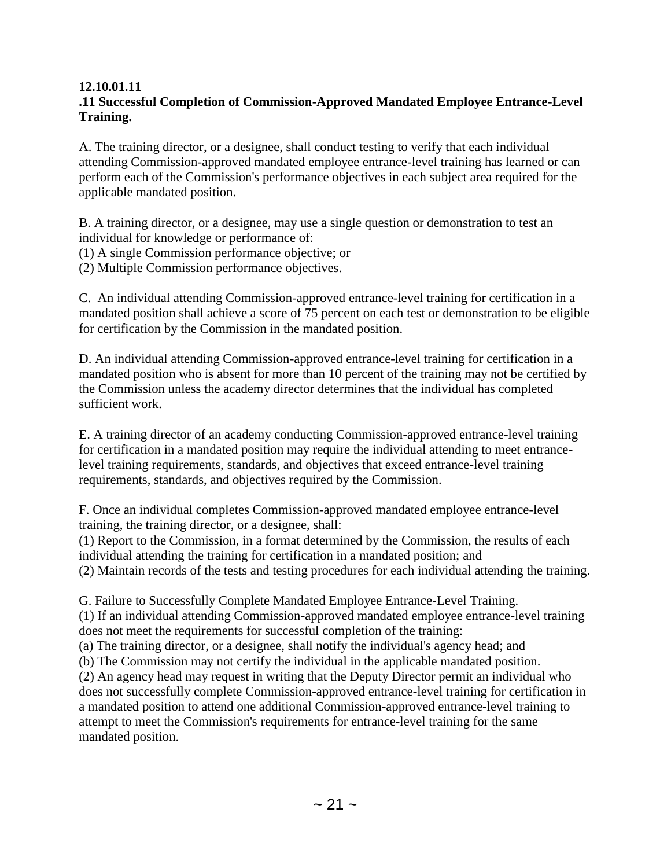# **12.10.01.11**

# **.11 Successful Completion of Commission-Approved Mandated Employee Entrance-Level Training.**

A. The training director, or a designee, shall conduct testing to verify that each individual attending Commission-approved mandated employee entrance-level training has learned or can perform each of the Commission's performance objectives in each subject area required for the applicable mandated position.

B. A training director, or a designee, may use a single question or demonstration to test an individual for knowledge or performance of:

(1) A single Commission performance objective; or

(2) Multiple Commission performance objectives.

C. An individual attending Commission-approved entrance-level training for certification in a mandated position shall achieve a score of 75 percent on each test or demonstration to be eligible for certification by the Commission in the mandated position.

D. An individual attending Commission-approved entrance-level training for certification in a mandated position who is absent for more than 10 percent of the training may not be certified by the Commission unless the academy director determines that the individual has completed sufficient work.

E. A training director of an academy conducting Commission-approved entrance-level training for certification in a mandated position may require the individual attending to meet entrancelevel training requirements, standards, and objectives that exceed entrance-level training requirements, standards, and objectives required by the Commission.

F. Once an individual completes Commission-approved mandated employee entrance-level training, the training director, or a designee, shall:

(1) Report to the Commission, in a format determined by the Commission, the results of each individual attending the training for certification in a mandated position; and

(2) Maintain records of the tests and testing procedures for each individual attending the training.

G. Failure to Successfully Complete Mandated Employee Entrance-Level Training.

(1) If an individual attending Commission-approved mandated employee entrance-level training does not meet the requirements for successful completion of the training:

(a) The training director, or a designee, shall notify the individual's agency head; and

(b) The Commission may not certify the individual in the applicable mandated position.

(2) An agency head may request in writing that the Deputy Director permit an individual who does not successfully complete Commission-approved entrance-level training for certification in a mandated position to attend one additional Commission-approved entrance-level training to attempt to meet the Commission's requirements for entrance-level training for the same mandated position.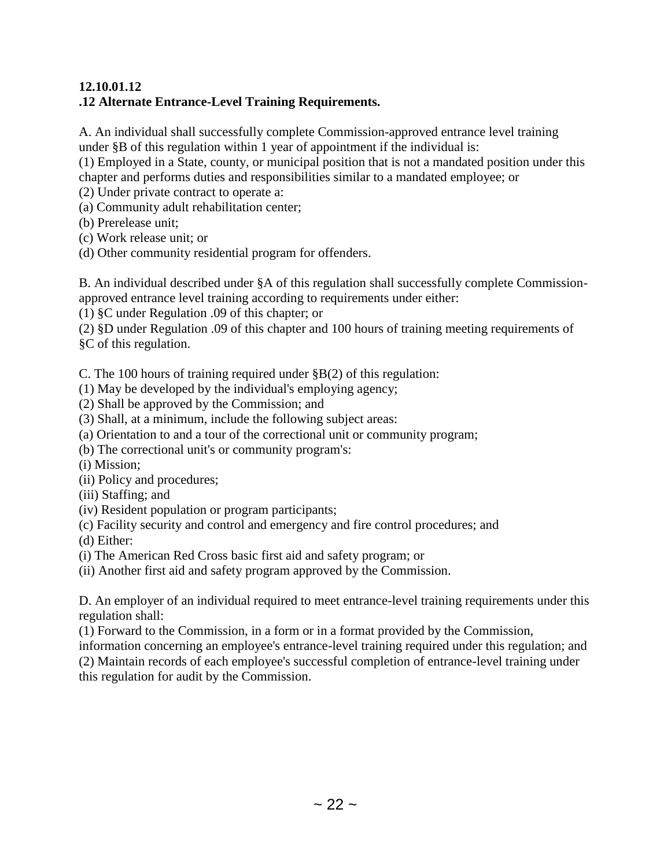## **12.10.01.12 .12 Alternate Entrance-Level Training Requirements.**

A. An individual shall successfully complete Commission-approved entrance level training under §B of this regulation within 1 year of appointment if the individual is:

(1) Employed in a State, county, or municipal position that is not a mandated position under this chapter and performs duties and responsibilities similar to a mandated employee; or

(2) Under private contract to operate a:

(a) Community adult rehabilitation center;

(b) Prerelease unit;

(c) Work release unit; or

(d) Other community residential program for offenders.

B. An individual described under §A of this regulation shall successfully complete Commissionapproved entrance level training according to requirements under either:

(1) §C under Regulation .09 of this chapter; or

(2) §D under Regulation .09 of this chapter and 100 hours of training meeting requirements of §C of this regulation.

C. The 100 hours of training required under §B(2) of this regulation:

(1) May be developed by the individual's employing agency;

(2) Shall be approved by the Commission; and

(3) Shall, at a minimum, include the following subject areas:

(a) Orientation to and a tour of the correctional unit or community program;

(b) The correctional unit's or community program's:

(i) Mission;

(ii) Policy and procedures;

(iii) Staffing; and

(iv) Resident population or program participants;

(c) Facility security and control and emergency and fire control procedures; and

(d) Either:

(i) The American Red Cross basic first aid and safety program; or

(ii) Another first aid and safety program approved by the Commission.

D. An employer of an individual required to meet entrance-level training requirements under this regulation shall:

(1) Forward to the Commission, in a form or in a format provided by the Commission,

information concerning an employee's entrance-level training required under this regulation; and

(2) Maintain records of each employee's successful completion of entrance-level training under this regulation for audit by the Commission.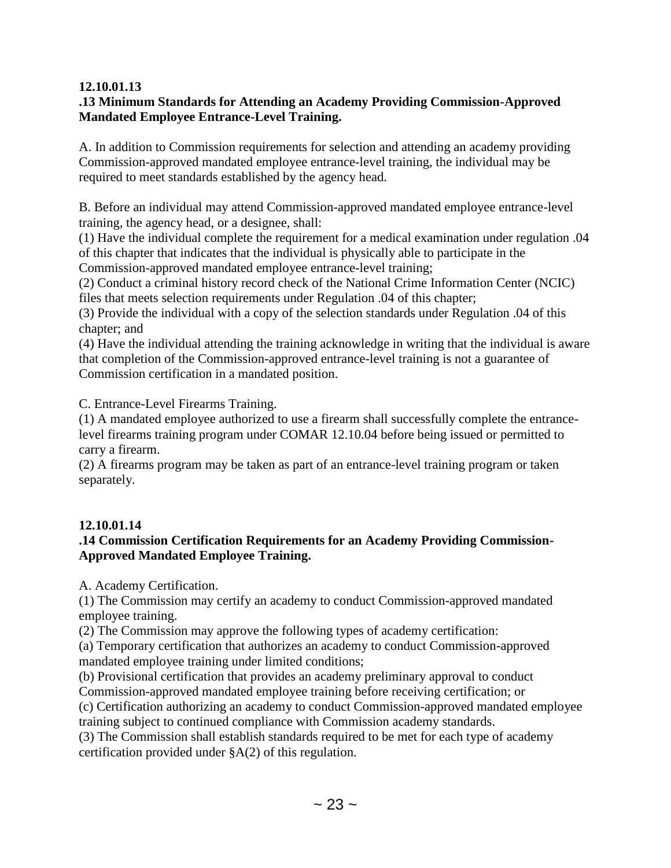#### **12.10.01.13**

## **.13 Minimum Standards for Attending an Academy Providing Commission-Approved Mandated Employee Entrance-Level Training.**

A. In addition to Commission requirements for selection and attending an academy providing Commission-approved mandated employee entrance-level training, the individual may be required to meet standards established by the agency head.

B. Before an individual may attend Commission-approved mandated employee entrance-level training, the agency head, or a designee, shall:

(1) Have the individual complete the requirement for a medical examination under regulation .04 of this chapter that indicates that the individual is physically able to participate in the Commission-approved mandated employee entrance-level training;

(2) Conduct a criminal history record check of the National Crime Information Center (NCIC) files that meets selection requirements under Regulation .04 of this chapter;

(3) Provide the individual with a copy of the selection standards under Regulation .04 of this chapter; and

(4) Have the individual attending the training acknowledge in writing that the individual is aware that completion of the Commission-approved entrance-level training is not a guarantee of Commission certification in a mandated position.

C. Entrance-Level Firearms Training.

(1) A mandated employee authorized to use a firearm shall successfully complete the entrancelevel firearms training program under COMAR 12.10.04 before being issued or permitted to carry a firearm.

(2) A firearms program may be taken as part of an entrance-level training program or taken separately.

## **12.10.01.14**

## **.14 Commission Certification Requirements for an Academy Providing Commission-Approved Mandated Employee Training.**

A. Academy Certification.

(1) The Commission may certify an academy to conduct Commission-approved mandated employee training.

(2) The Commission may approve the following types of academy certification:

(a) Temporary certification that authorizes an academy to conduct Commission-approved mandated employee training under limited conditions;

(b) Provisional certification that provides an academy preliminary approval to conduct Commission-approved mandated employee training before receiving certification; or

(c) Certification authorizing an academy to conduct Commission-approved mandated employee training subject to continued compliance with Commission academy standards.

(3) The Commission shall establish standards required to be met for each type of academy certification provided under §A(2) of this regulation.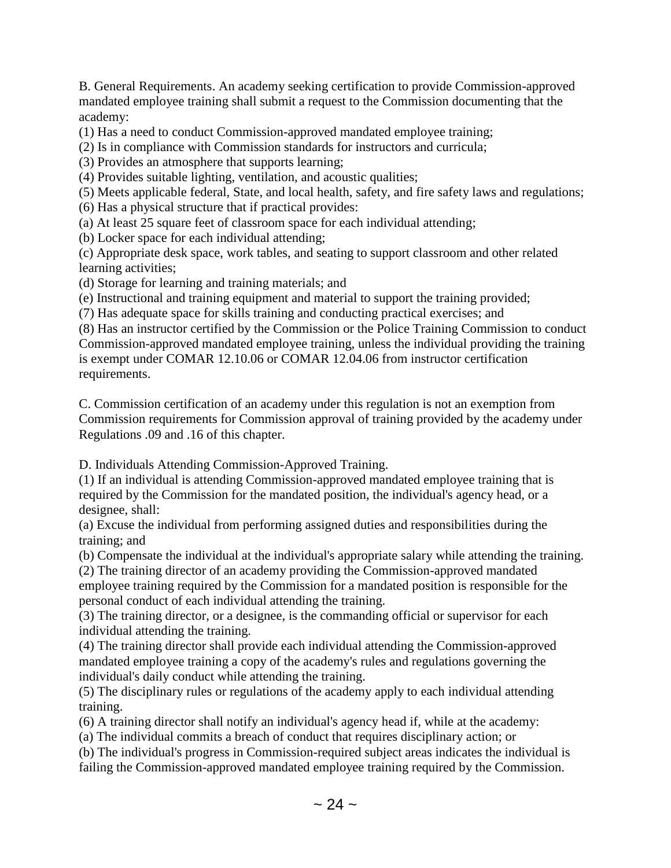B. General Requirements. An academy seeking certification to provide Commission-approved mandated employee training shall submit a request to the Commission documenting that the academy:

(1) Has a need to conduct Commission-approved mandated employee training;

(2) Is in compliance with Commission standards for instructors and curricula;

(3) Provides an atmosphere that supports learning;

(4) Provides suitable lighting, ventilation, and acoustic qualities;

(5) Meets applicable federal, State, and local health, safety, and fire safety laws and regulations;

(6) Has a physical structure that if practical provides:

(a) At least 25 square feet of classroom space for each individual attending;

(b) Locker space for each individual attending;

(c) Appropriate desk space, work tables, and seating to support classroom and other related learning activities;

(d) Storage for learning and training materials; and

(e) Instructional and training equipment and material to support the training provided;

(7) Has adequate space for skills training and conducting practical exercises; and

(8) Has an instructor certified by the Commission or the Police Training Commission to conduct Commission-approved mandated employee training, unless the individual providing the training is exempt under COMAR 12.10.06 or COMAR 12.04.06 from instructor certification requirements.

C. Commission certification of an academy under this regulation is not an exemption from Commission requirements for Commission approval of training provided by the academy under Regulations .09 and .16 of this chapter.

D. Individuals Attending Commission-Approved Training.

(1) If an individual is attending Commission-approved mandated employee training that is required by the Commission for the mandated position, the individual's agency head, or a designee, shall:

(a) Excuse the individual from performing assigned duties and responsibilities during the training; and

(b) Compensate the individual at the individual's appropriate salary while attending the training.

(2) The training director of an academy providing the Commission-approved mandated employee training required by the Commission for a mandated position is responsible for the personal conduct of each individual attending the training.

(3) The training director, or a designee, is the commanding official or supervisor for each individual attending the training.

(4) The training director shall provide each individual attending the Commission-approved mandated employee training a copy of the academy's rules and regulations governing the individual's daily conduct while attending the training.

(5) The disciplinary rules or regulations of the academy apply to each individual attending training.

(6) A training director shall notify an individual's agency head if, while at the academy:

(a) The individual commits a breach of conduct that requires disciplinary action; or

(b) The individual's progress in Commission-required subject areas indicates the individual is failing the Commission-approved mandated employee training required by the Commission.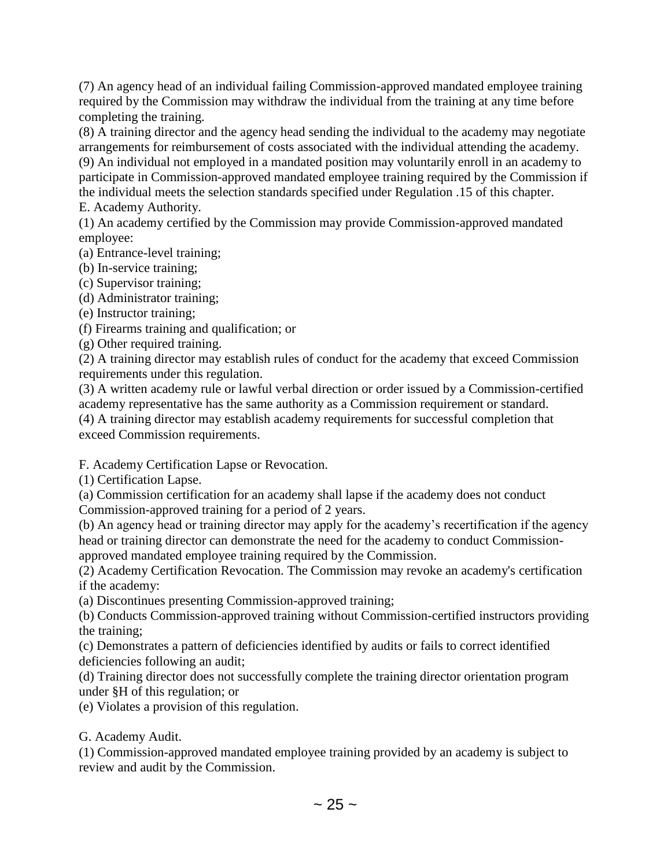(7) An agency head of an individual failing Commission-approved mandated employee training required by the Commission may withdraw the individual from the training at any time before completing the training.

(8) A training director and the agency head sending the individual to the academy may negotiate arrangements for reimbursement of costs associated with the individual attending the academy. (9) An individual not employed in a mandated position may voluntarily enroll in an academy to participate in Commission-approved mandated employee training required by the Commission if the individual meets the selection standards specified under Regulation .15 of this chapter.

E. Academy Authority.

(1) An academy certified by the Commission may provide Commission-approved mandated employee:

(a) Entrance-level training;

(b) In-service training;

(c) Supervisor training;

(d) Administrator training;

(e) Instructor training;

(f) Firearms training and qualification; or

(g) Other required training.

(2) A training director may establish rules of conduct for the academy that exceed Commission requirements under this regulation.

(3) A written academy rule or lawful verbal direction or order issued by a Commission-certified academy representative has the same authority as a Commission requirement or standard.

(4) A training director may establish academy requirements for successful completion that exceed Commission requirements.

F. Academy Certification Lapse or Revocation.

(1) Certification Lapse.

(a) Commission certification for an academy shall lapse if the academy does not conduct Commission-approved training for a period of 2 years.

(b) An agency head or training director may apply for the academy's recertification if the agency head or training director can demonstrate the need for the academy to conduct Commissionapproved mandated employee training required by the Commission.

(2) Academy Certification Revocation. The Commission may revoke an academy's certification if the academy:

(a) Discontinues presenting Commission-approved training;

(b) Conducts Commission-approved training without Commission-certified instructors providing the training;

(c) Demonstrates a pattern of deficiencies identified by audits or fails to correct identified deficiencies following an audit;

(d) Training director does not successfully complete the training director orientation program under §H of this regulation; or

(e) Violates a provision of this regulation.

## G. Academy Audit.

(1) Commission-approved mandated employee training provided by an academy is subject to review and audit by the Commission.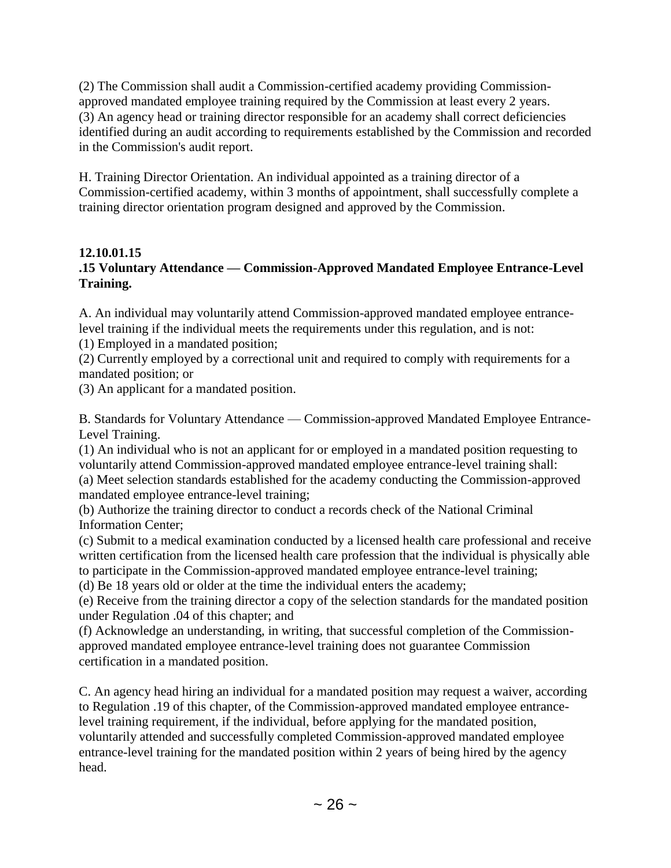(2) The Commission shall audit a Commission-certified academy providing Commissionapproved mandated employee training required by the Commission at least every 2 years. (3) An agency head or training director responsible for an academy shall correct deficiencies identified during an audit according to requirements established by the Commission and recorded in the Commission's audit report.

H. Training Director Orientation. An individual appointed as a training director of a Commission-certified academy, within 3 months of appointment, shall successfully complete a training director orientation program designed and approved by the Commission.

# **12.10.01.15**

# **.15 Voluntary Attendance — Commission-Approved Mandated Employee Entrance-Level Training.**

A. An individual may voluntarily attend Commission-approved mandated employee entrancelevel training if the individual meets the requirements under this regulation, and is not: (1) Employed in a mandated position;

(2) Currently employed by a correctional unit and required to comply with requirements for a mandated position; or

(3) An applicant for a mandated position.

B. Standards for Voluntary Attendance — Commission-approved Mandated Employee Entrance-Level Training.

(1) An individual who is not an applicant for or employed in a mandated position requesting to voluntarily attend Commission-approved mandated employee entrance-level training shall:

(a) Meet selection standards established for the academy conducting the Commission-approved mandated employee entrance-level training;

(b) Authorize the training director to conduct a records check of the National Criminal Information Center;

(c) Submit to a medical examination conducted by a licensed health care professional and receive written certification from the licensed health care profession that the individual is physically able to participate in the Commission-approved mandated employee entrance-level training;

(d) Be 18 years old or older at the time the individual enters the academy;

(e) Receive from the training director a copy of the selection standards for the mandated position under Regulation .04 of this chapter; and

(f) Acknowledge an understanding, in writing, that successful completion of the Commissionapproved mandated employee entrance-level training does not guarantee Commission certification in a mandated position.

C. An agency head hiring an individual for a mandated position may request a waiver, according to Regulation .19 of this chapter, of the Commission-approved mandated employee entrancelevel training requirement, if the individual, before applying for the mandated position, voluntarily attended and successfully completed Commission-approved mandated employee entrance-level training for the mandated position within 2 years of being hired by the agency head.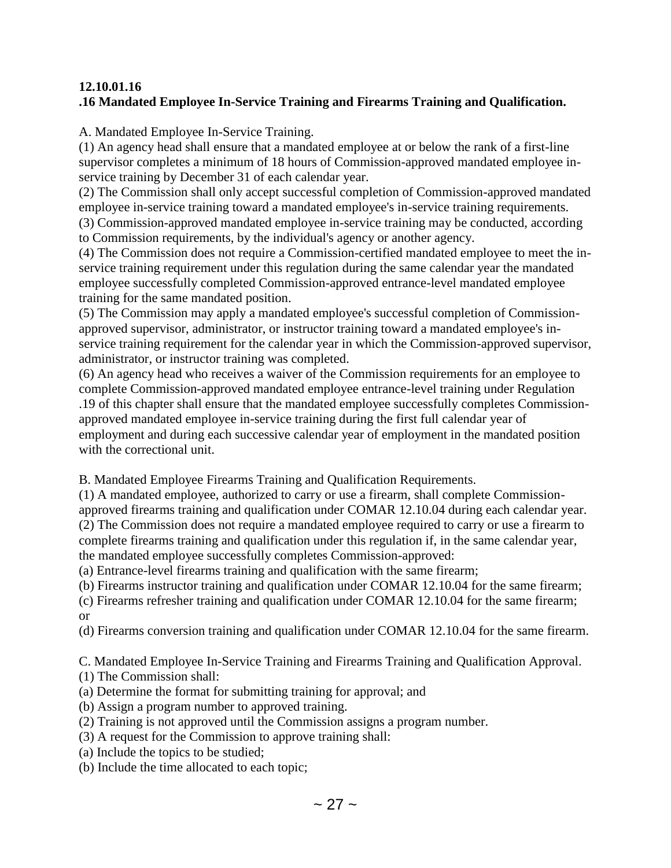# **12.10.01.16 .16 Mandated Employee In-Service Training and Firearms Training and Qualification.**

A. Mandated Employee In-Service Training.

(1) An agency head shall ensure that a mandated employee at or below the rank of a first-line supervisor completes a minimum of 18 hours of Commission-approved mandated employee inservice training by December 31 of each calendar year.

(2) The Commission shall only accept successful completion of Commission-approved mandated employee in-service training toward a mandated employee's in-service training requirements.

(3) Commission-approved mandated employee in-service training may be conducted, according to Commission requirements, by the individual's agency or another agency.

(4) The Commission does not require a Commission-certified mandated employee to meet the inservice training requirement under this regulation during the same calendar year the mandated employee successfully completed Commission-approved entrance-level mandated employee training for the same mandated position.

(5) The Commission may apply a mandated employee's successful completion of Commissionapproved supervisor, administrator, or instructor training toward a mandated employee's inservice training requirement for the calendar year in which the Commission-approved supervisor, administrator, or instructor training was completed.

(6) An agency head who receives a waiver of the Commission requirements for an employee to complete Commission-approved mandated employee entrance-level training under Regulation .19 of this chapter shall ensure that the mandated employee successfully completes Commissionapproved mandated employee in-service training during the first full calendar year of employment and during each successive calendar year of employment in the mandated position with the correctional unit.

B. Mandated Employee Firearms Training and Qualification Requirements.

(1) A mandated employee, authorized to carry or use a firearm, shall complete Commissionapproved firearms training and qualification under COMAR 12.10.04 during each calendar year. (2) The Commission does not require a mandated employee required to carry or use a firearm to complete firearms training and qualification under this regulation if, in the same calendar year, the mandated employee successfully completes Commission-approved:

(a) Entrance-level firearms training and qualification with the same firearm;

(b) Firearms instructor training and qualification under COMAR 12.10.04 for the same firearm;

(c) Firearms refresher training and qualification under COMAR 12.10.04 for the same firearm; or

(d) Firearms conversion training and qualification under COMAR 12.10.04 for the same firearm.

C. Mandated Employee In-Service Training and Firearms Training and Qualification Approval.

(1) The Commission shall:

- (a) Determine the format for submitting training for approval; and
- (b) Assign a program number to approved training.
- (2) Training is not approved until the Commission assigns a program number.
- (3) A request for the Commission to approve training shall:
- (a) Include the topics to be studied;
- (b) Include the time allocated to each topic;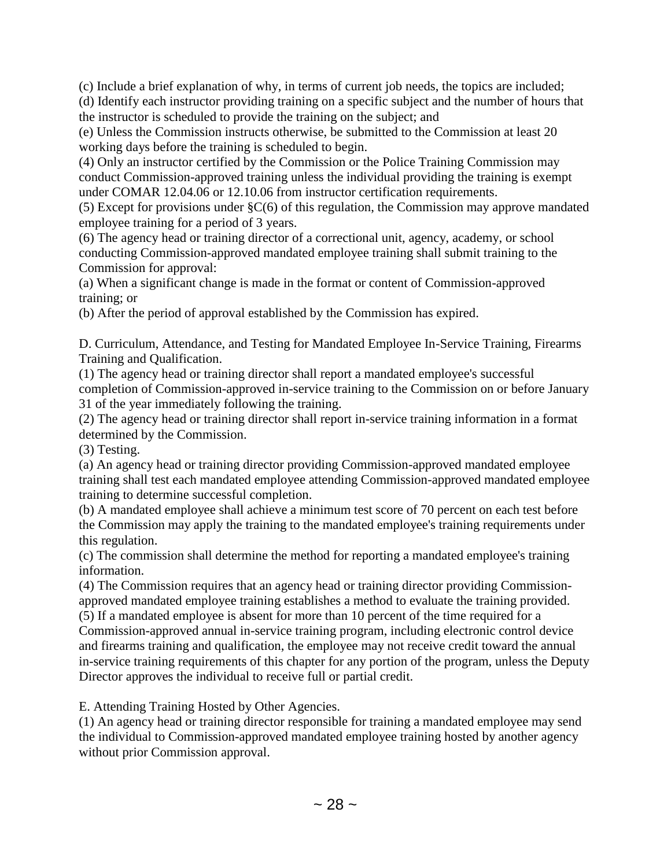(c) Include a brief explanation of why, in terms of current job needs, the topics are included;

(d) Identify each instructor providing training on a specific subject and the number of hours that the instructor is scheduled to provide the training on the subject; and

(e) Unless the Commission instructs otherwise, be submitted to the Commission at least 20 working days before the training is scheduled to begin.

(4) Only an instructor certified by the Commission or the Police Training Commission may conduct Commission-approved training unless the individual providing the training is exempt under COMAR 12.04.06 or 12.10.06 from instructor certification requirements.

(5) Except for provisions under §C(6) of this regulation, the Commission may approve mandated employee training for a period of 3 years.

(6) The agency head or training director of a correctional unit, agency, academy, or school conducting Commission-approved mandated employee training shall submit training to the Commission for approval:

(a) When a significant change is made in the format or content of Commission-approved training; or

(b) After the period of approval established by the Commission has expired.

D. Curriculum, Attendance, and Testing for Mandated Employee In-Service Training, Firearms Training and Qualification.

(1) The agency head or training director shall report a mandated employee's successful completion of Commission-approved in-service training to the Commission on or before January 31 of the year immediately following the training.

(2) The agency head or training director shall report in-service training information in a format determined by the Commission.

(3) Testing.

(a) An agency head or training director providing Commission-approved mandated employee training shall test each mandated employee attending Commission-approved mandated employee training to determine successful completion.

(b) A mandated employee shall achieve a minimum test score of 70 percent on each test before the Commission may apply the training to the mandated employee's training requirements under this regulation.

(c) The commission shall determine the method for reporting a mandated employee's training information.

(4) The Commission requires that an agency head or training director providing Commissionapproved mandated employee training establishes a method to evaluate the training provided.

(5) If a mandated employee is absent for more than 10 percent of the time required for a Commission-approved annual in-service training program, including electronic control device and firearms training and qualification, the employee may not receive credit toward the annual in-service training requirements of this chapter for any portion of the program, unless the Deputy Director approves the individual to receive full or partial credit.

E. Attending Training Hosted by Other Agencies.

(1) An agency head or training director responsible for training a mandated employee may send the individual to Commission-approved mandated employee training hosted by another agency without prior Commission approval.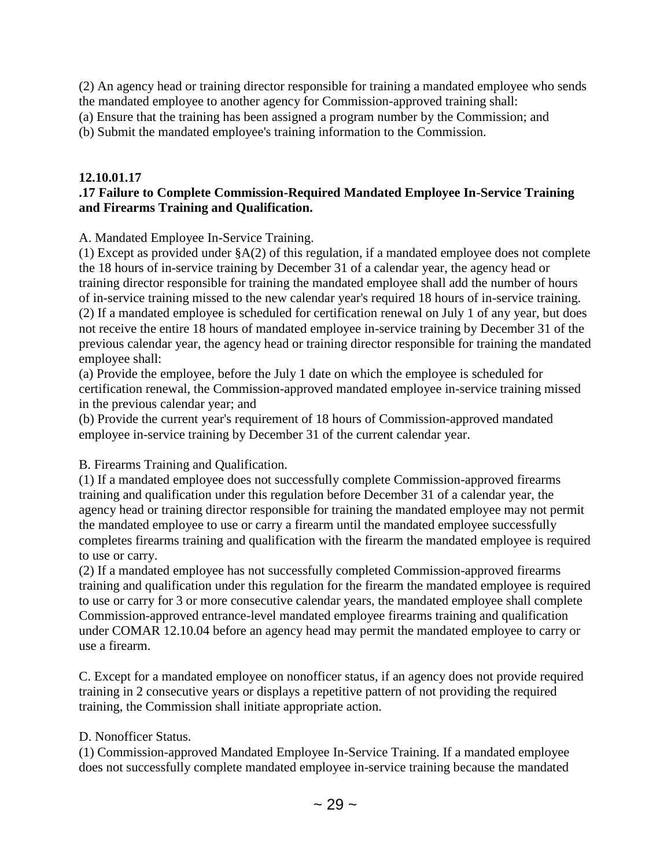(2) An agency head or training director responsible for training a mandated employee who sends the mandated employee to another agency for Commission-approved training shall:

(a) Ensure that the training has been assigned a program number by the Commission; and

(b) Submit the mandated employee's training information to the Commission.

#### **12.10.01.17**

#### **.17 Failure to Complete Commission-Required Mandated Employee In-Service Training and Firearms Training and Qualification.**

A. Mandated Employee In-Service Training.

(1) Except as provided under §A(2) of this regulation, if a mandated employee does not complete the 18 hours of in-service training by December 31 of a calendar year, the agency head or training director responsible for training the mandated employee shall add the number of hours of in-service training missed to the new calendar year's required 18 hours of in-service training. (2) If a mandated employee is scheduled for certification renewal on July 1 of any year, but does not receive the entire 18 hours of mandated employee in-service training by December 31 of the previous calendar year, the agency head or training director responsible for training the mandated employee shall:

(a) Provide the employee, before the July 1 date on which the employee is scheduled for certification renewal, the Commission-approved mandated employee in-service training missed in the previous calendar year; and

(b) Provide the current year's requirement of 18 hours of Commission-approved mandated employee in-service training by December 31 of the current calendar year.

B. Firearms Training and Qualification.

(1) If a mandated employee does not successfully complete Commission-approved firearms training and qualification under this regulation before December 31 of a calendar year, the agency head or training director responsible for training the mandated employee may not permit the mandated employee to use or carry a firearm until the mandated employee successfully completes firearms training and qualification with the firearm the mandated employee is required to use or carry.

(2) If a mandated employee has not successfully completed Commission-approved firearms training and qualification under this regulation for the firearm the mandated employee is required to use or carry for 3 or more consecutive calendar years, the mandated employee shall complete Commission-approved entrance-level mandated employee firearms training and qualification under COMAR 12.10.04 before an agency head may permit the mandated employee to carry or use a firearm.

C. Except for a mandated employee on nonofficer status, if an agency does not provide required training in 2 consecutive years or displays a repetitive pattern of not providing the required training, the Commission shall initiate appropriate action.

#### D. Nonofficer Status.

(1) Commission-approved Mandated Employee In-Service Training. If a mandated employee does not successfully complete mandated employee in-service training because the mandated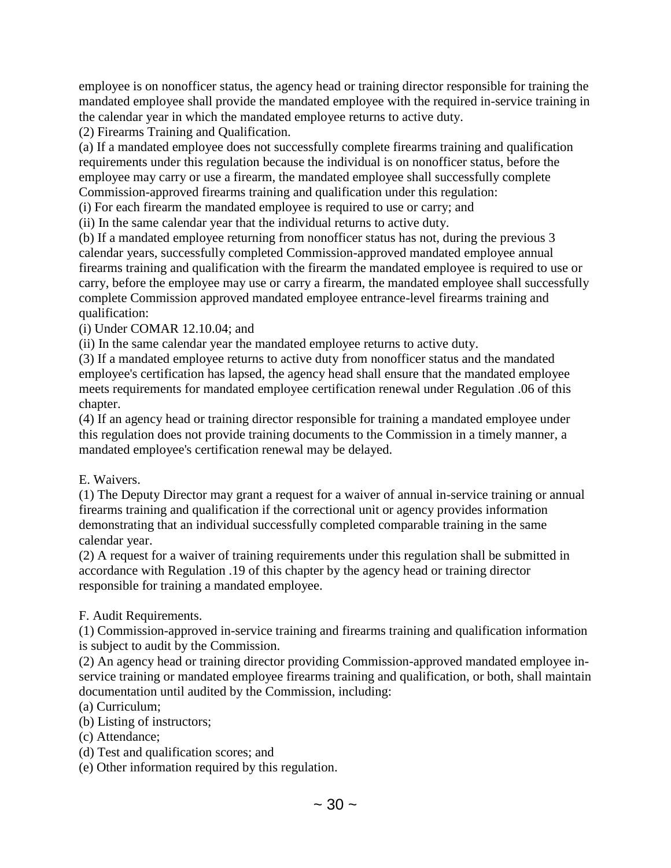employee is on nonofficer status, the agency head or training director responsible for training the mandated employee shall provide the mandated employee with the required in-service training in the calendar year in which the mandated employee returns to active duty.

(2) Firearms Training and Qualification.

(a) If a mandated employee does not successfully complete firearms training and qualification requirements under this regulation because the individual is on nonofficer status, before the employee may carry or use a firearm, the mandated employee shall successfully complete Commission-approved firearms training and qualification under this regulation:

(i) For each firearm the mandated employee is required to use or carry; and

(ii) In the same calendar year that the individual returns to active duty.

(b) If a mandated employee returning from nonofficer status has not, during the previous 3 calendar years, successfully completed Commission-approved mandated employee annual firearms training and qualification with the firearm the mandated employee is required to use or carry, before the employee may use or carry a firearm, the mandated employee shall successfully complete Commission approved mandated employee entrance-level firearms training and qualification:

(i) Under COMAR 12.10.04; and

(ii) In the same calendar year the mandated employee returns to active duty.

(3) If a mandated employee returns to active duty from nonofficer status and the mandated employee's certification has lapsed, the agency head shall ensure that the mandated employee meets requirements for mandated employee certification renewal under Regulation .06 of this chapter.

(4) If an agency head or training director responsible for training a mandated employee under this regulation does not provide training documents to the Commission in a timely manner, a mandated employee's certification renewal may be delayed.

#### E. Waivers.

(1) The Deputy Director may grant a request for a waiver of annual in-service training or annual firearms training and qualification if the correctional unit or agency provides information demonstrating that an individual successfully completed comparable training in the same calendar year.

(2) A request for a waiver of training requirements under this regulation shall be submitted in accordance with Regulation .19 of this chapter by the agency head or training director responsible for training a mandated employee.

## F. Audit Requirements.

(1) Commission-approved in-service training and firearms training and qualification information is subject to audit by the Commission.

(2) An agency head or training director providing Commission-approved mandated employee inservice training or mandated employee firearms training and qualification, or both, shall maintain documentation until audited by the Commission, including:

- (a) Curriculum;
- (b) Listing of instructors;
- (c) Attendance;
- (d) Test and qualification scores; and

(e) Other information required by this regulation.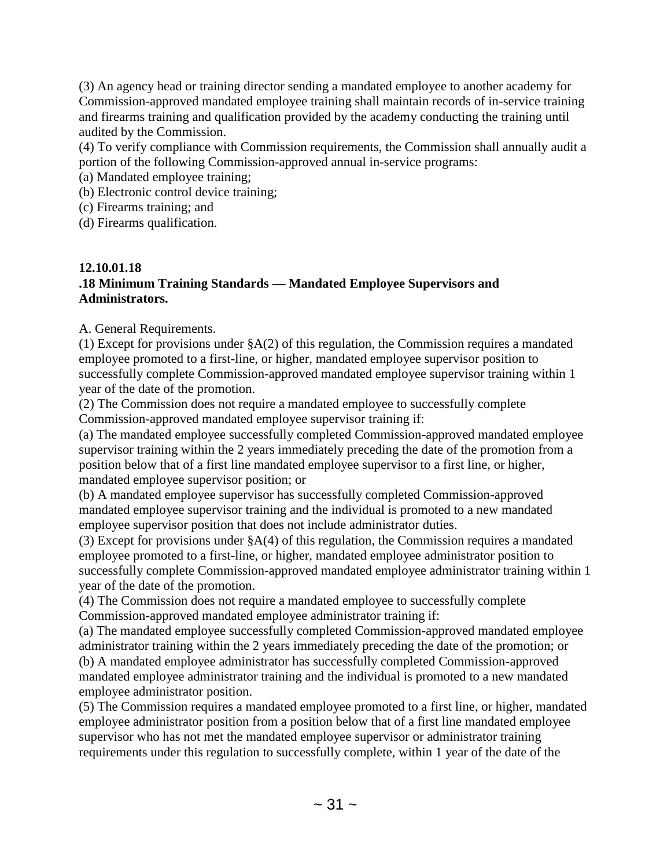(3) An agency head or training director sending a mandated employee to another academy for Commission-approved mandated employee training shall maintain records of in-service training and firearms training and qualification provided by the academy conducting the training until audited by the Commission.

(4) To verify compliance with Commission requirements, the Commission shall annually audit a portion of the following Commission-approved annual in-service programs:

(a) Mandated employee training;

(b) Electronic control device training;

(c) Firearms training; and

(d) Firearms qualification.

## **12.10.01.18 .18 Minimum Training Standards — Mandated Employee Supervisors and Administrators.**

A. General Requirements.

(1) Except for provisions under §A(2) of this regulation, the Commission requires a mandated employee promoted to a first-line, or higher, mandated employee supervisor position to successfully complete Commission-approved mandated employee supervisor training within 1 year of the date of the promotion.

(2) The Commission does not require a mandated employee to successfully complete Commission-approved mandated employee supervisor training if:

(a) The mandated employee successfully completed Commission-approved mandated employee supervisor training within the 2 years immediately preceding the date of the promotion from a position below that of a first line mandated employee supervisor to a first line, or higher, mandated employee supervisor position; or

(b) A mandated employee supervisor has successfully completed Commission-approved mandated employee supervisor training and the individual is promoted to a new mandated employee supervisor position that does not include administrator duties.

(3) Except for provisions under §A(4) of this regulation, the Commission requires a mandated employee promoted to a first-line, or higher, mandated employee administrator position to successfully complete Commission-approved mandated employee administrator training within 1 year of the date of the promotion.

(4) The Commission does not require a mandated employee to successfully complete Commission-approved mandated employee administrator training if:

(a) The mandated employee successfully completed Commission-approved mandated employee administrator training within the 2 years immediately preceding the date of the promotion; or (b) A mandated employee administrator has successfully completed Commission-approved mandated employee administrator training and the individual is promoted to a new mandated employee administrator position.

(5) The Commission requires a mandated employee promoted to a first line, or higher, mandated employee administrator position from a position below that of a first line mandated employee supervisor who has not met the mandated employee supervisor or administrator training requirements under this regulation to successfully complete, within 1 year of the date of the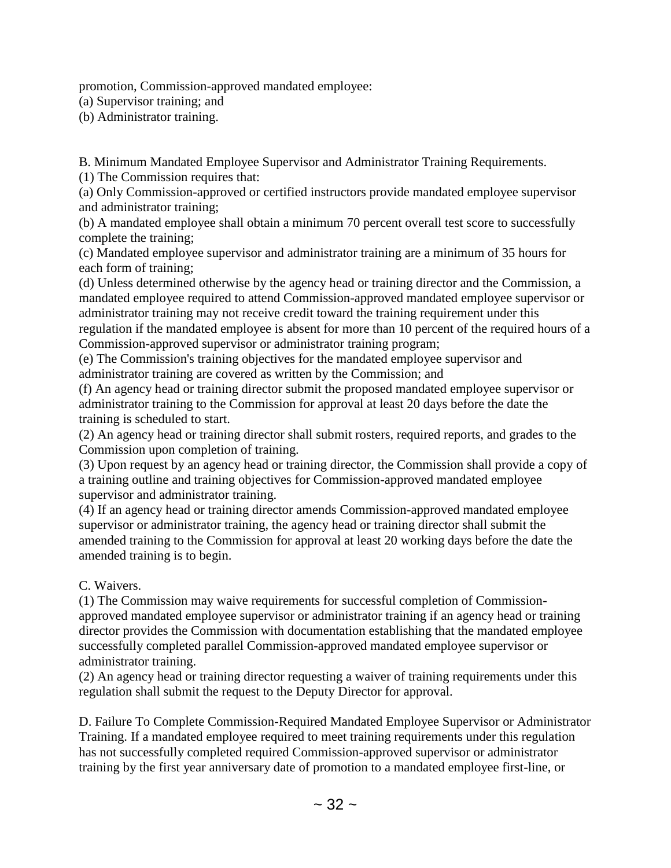promotion, Commission-approved mandated employee:

(a) Supervisor training; and

(b) Administrator training.

B. Minimum Mandated Employee Supervisor and Administrator Training Requirements.

(1) The Commission requires that:

(a) Only Commission-approved or certified instructors provide mandated employee supervisor and administrator training;

(b) A mandated employee shall obtain a minimum 70 percent overall test score to successfully complete the training;

(c) Mandated employee supervisor and administrator training are a minimum of 35 hours for each form of training;

(d) Unless determined otherwise by the agency head or training director and the Commission, a mandated employee required to attend Commission-approved mandated employee supervisor or administrator training may not receive credit toward the training requirement under this regulation if the mandated employee is absent for more than 10 percent of the required hours of a Commission-approved supervisor or administrator training program;

(e) The Commission's training objectives for the mandated employee supervisor and administrator training are covered as written by the Commission; and

(f) An agency head or training director submit the proposed mandated employee supervisor or administrator training to the Commission for approval at least 20 days before the date the training is scheduled to start.

(2) An agency head or training director shall submit rosters, required reports, and grades to the Commission upon completion of training.

(3) Upon request by an agency head or training director, the Commission shall provide a copy of a training outline and training objectives for Commission-approved mandated employee supervisor and administrator training.

(4) If an agency head or training director amends Commission-approved mandated employee supervisor or administrator training, the agency head or training director shall submit the amended training to the Commission for approval at least 20 working days before the date the amended training is to begin.

## C. Waivers.

(1) The Commission may waive requirements for successful completion of Commissionapproved mandated employee supervisor or administrator training if an agency head or training director provides the Commission with documentation establishing that the mandated employee successfully completed parallel Commission-approved mandated employee supervisor or administrator training.

(2) An agency head or training director requesting a waiver of training requirements under this regulation shall submit the request to the Deputy Director for approval.

D. Failure To Complete Commission-Required Mandated Employee Supervisor or Administrator Training. If a mandated employee required to meet training requirements under this regulation has not successfully completed required Commission-approved supervisor or administrator training by the first year anniversary date of promotion to a mandated employee first-line, or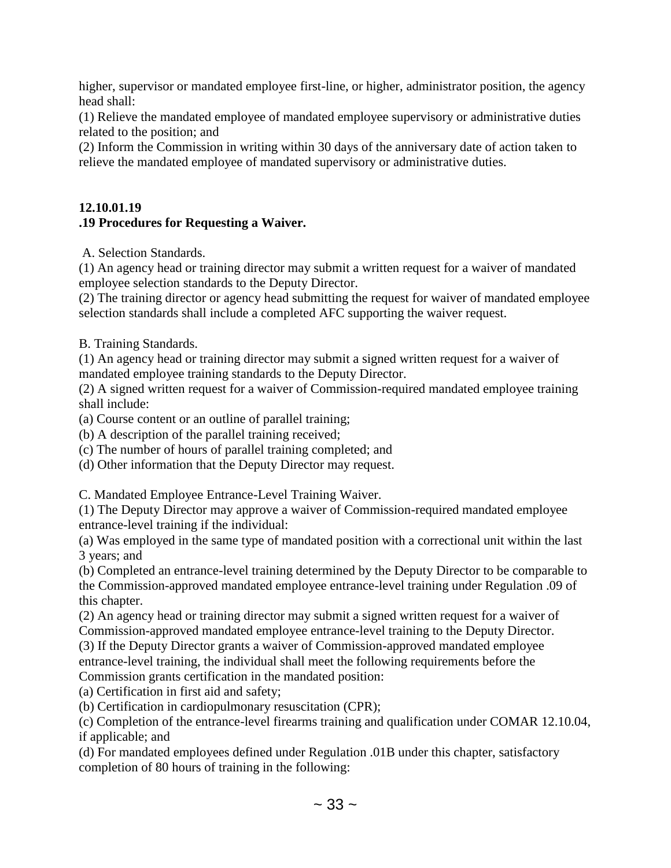higher, supervisor or mandated employee first-line, or higher, administrator position, the agency head shall:

(1) Relieve the mandated employee of mandated employee supervisory or administrative duties related to the position; and

(2) Inform the Commission in writing within 30 days of the anniversary date of action taken to relieve the mandated employee of mandated supervisory or administrative duties.

## **12.10.01.19 .19 Procedures for Requesting a Waiver.**

A. Selection Standards.

(1) An agency head or training director may submit a written request for a waiver of mandated employee selection standards to the Deputy Director.

(2) The training director or agency head submitting the request for waiver of mandated employee selection standards shall include a completed AFC supporting the waiver request.

B. Training Standards.

(1) An agency head or training director may submit a signed written request for a waiver of mandated employee training standards to the Deputy Director.

(2) A signed written request for a waiver of Commission-required mandated employee training shall include:

(a) Course content or an outline of parallel training;

(b) A description of the parallel training received;

(c) The number of hours of parallel training completed; and

(d) Other information that the Deputy Director may request.

C. Mandated Employee Entrance-Level Training Waiver.

(1) The Deputy Director may approve a waiver of Commission-required mandated employee entrance-level training if the individual:

(a) Was employed in the same type of mandated position with a correctional unit within the last 3 years; and

(b) Completed an entrance-level training determined by the Deputy Director to be comparable to the Commission-approved mandated employee entrance-level training under Regulation .09 of this chapter.

(2) An agency head or training director may submit a signed written request for a waiver of Commission-approved mandated employee entrance-level training to the Deputy Director.

(3) If the Deputy Director grants a waiver of Commission-approved mandated employee entrance-level training, the individual shall meet the following requirements before the Commission grants certification in the mandated position:

(a) Certification in first aid and safety;

(b) Certification in cardiopulmonary resuscitation (CPR);

(c) Completion of the entrance-level firearms training and qualification under COMAR 12.10.04, if applicable; and

(d) For mandated employees defined under Regulation .01B under this chapter, satisfactory completion of 80 hours of training in the following: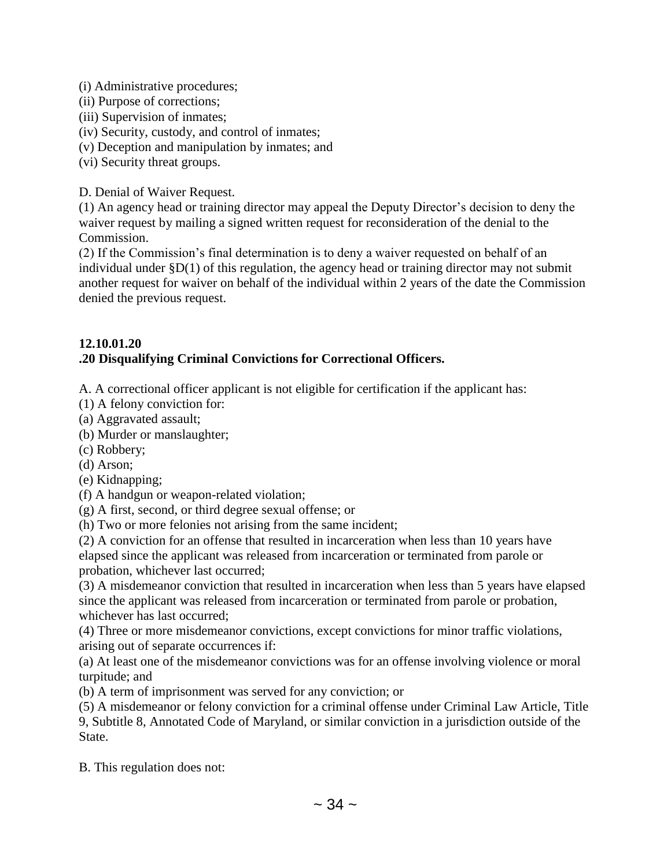- (i) Administrative procedures;
- (ii) Purpose of corrections;
- (iii) Supervision of inmates;
- (iv) Security, custody, and control of inmates;
- (v) Deception and manipulation by inmates; and
- (vi) Security threat groups.

D. Denial of Waiver Request.

(1) An agency head or training director may appeal the Deputy Director's decision to deny the waiver request by mailing a signed written request for reconsideration of the denial to the Commission.

(2) If the Commission's final determination is to deny a waiver requested on behalf of an individual under §D(1) of this regulation, the agency head or training director may not submit another request for waiver on behalf of the individual within 2 years of the date the Commission denied the previous request.

## **12.10.01.20 .20 Disqualifying Criminal Convictions for Correctional Officers.**

A. A correctional officer applicant is not eligible for certification if the applicant has:

- (1) A felony conviction for:
- (a) Aggravated assault;
- (b) Murder or manslaughter;
- (c) Robbery;
- (d) Arson;
- (e) Kidnapping;
- (f) A handgun or weapon-related violation;
- (g) A first, second, or third degree sexual offense; or
- (h) Two or more felonies not arising from the same incident;

(2) A conviction for an offense that resulted in incarceration when less than 10 years have elapsed since the applicant was released from incarceration or terminated from parole or probation, whichever last occurred;

(3) A misdemeanor conviction that resulted in incarceration when less than 5 years have elapsed since the applicant was released from incarceration or terminated from parole or probation, whichever has last occurred;

(4) Three or more misdemeanor convictions, except convictions for minor traffic violations, arising out of separate occurrences if:

(a) At least one of the misdemeanor convictions was for an offense involving violence or moral turpitude; and

(b) A term of imprisonment was served for any conviction; or

(5) A misdemeanor or felony conviction for a criminal offense under Criminal Law Article, Title 9, Subtitle 8, Annotated Code of Maryland, or similar conviction in a jurisdiction outside of the State.

B. This regulation does not: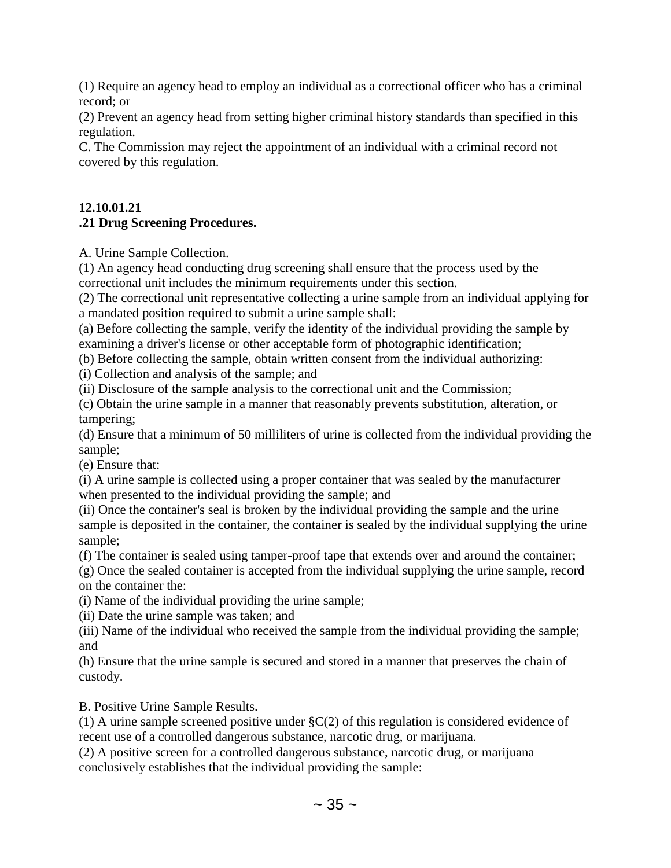(1) Require an agency head to employ an individual as a correctional officer who has a criminal record; or

(2) Prevent an agency head from setting higher criminal history standards than specified in this regulation.

C. The Commission may reject the appointment of an individual with a criminal record not covered by this regulation.

# **12.10.01.21 .21 Drug Screening Procedures.**

A. Urine Sample Collection.

(1) An agency head conducting drug screening shall ensure that the process used by the correctional unit includes the minimum requirements under this section.

(2) The correctional unit representative collecting a urine sample from an individual applying for a mandated position required to submit a urine sample shall:

(a) Before collecting the sample, verify the identity of the individual providing the sample by examining a driver's license or other acceptable form of photographic identification;

(b) Before collecting the sample, obtain written consent from the individual authorizing:

(i) Collection and analysis of the sample; and

(ii) Disclosure of the sample analysis to the correctional unit and the Commission;

(c) Obtain the urine sample in a manner that reasonably prevents substitution, alteration, or tampering;

(d) Ensure that a minimum of 50 milliliters of urine is collected from the individual providing the sample;

(e) Ensure that:

(i) A urine sample is collected using a proper container that was sealed by the manufacturer when presented to the individual providing the sample; and

(ii) Once the container's seal is broken by the individual providing the sample and the urine sample is deposited in the container, the container is sealed by the individual supplying the urine sample;

(f) The container is sealed using tamper-proof tape that extends over and around the container;

(g) Once the sealed container is accepted from the individual supplying the urine sample, record on the container the:

(i) Name of the individual providing the urine sample;

(ii) Date the urine sample was taken; and

(iii) Name of the individual who received the sample from the individual providing the sample; and

(h) Ensure that the urine sample is secured and stored in a manner that preserves the chain of custody.

B. Positive Urine Sample Results.

(1) A urine sample screened positive under  $\S C(2)$  of this regulation is considered evidence of recent use of a controlled dangerous substance, narcotic drug, or marijuana.

(2) A positive screen for a controlled dangerous substance, narcotic drug, or marijuana conclusively establishes that the individual providing the sample: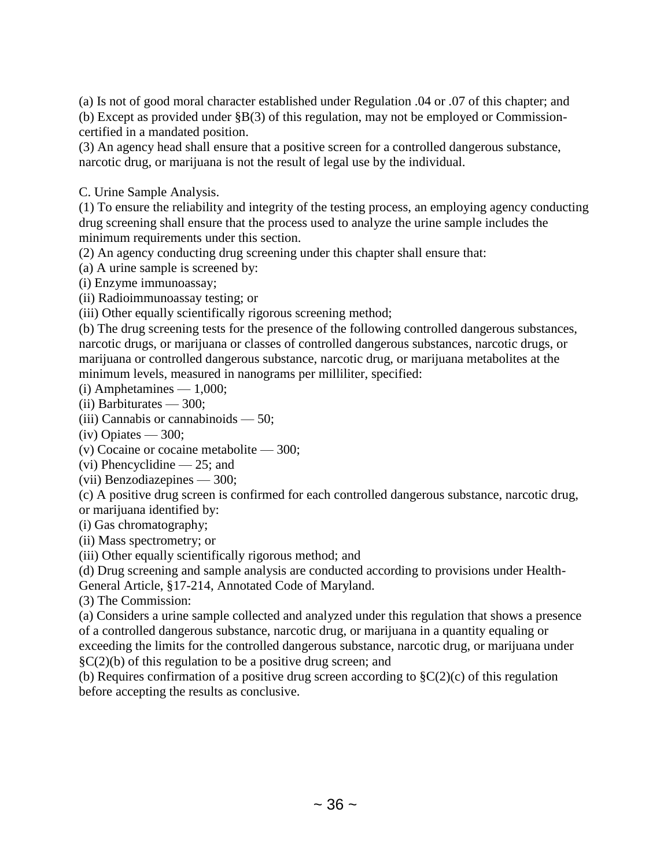(a) Is not of good moral character established under Regulation .04 or .07 of this chapter; and (b) Except as provided under §B(3) of this regulation, may not be employed or Commissioncertified in a mandated position.

(3) An agency head shall ensure that a positive screen for a controlled dangerous substance, narcotic drug, or marijuana is not the result of legal use by the individual.

C. Urine Sample Analysis.

(1) To ensure the reliability and integrity of the testing process, an employing agency conducting drug screening shall ensure that the process used to analyze the urine sample includes the minimum requirements under this section.

(2) An agency conducting drug screening under this chapter shall ensure that:

(a) A urine sample is screened by:

(i) Enzyme immunoassay;

(ii) Radioimmunoassay testing; or

(iii) Other equally scientifically rigorous screening method;

(b) The drug screening tests for the presence of the following controlled dangerous substances, narcotic drugs, or marijuana or classes of controlled dangerous substances, narcotic drugs, or marijuana or controlled dangerous substance, narcotic drug, or marijuana metabolites at the minimum levels, measured in nanograms per milliliter, specified:

 $(i)$  Amphetamines — 1,000;

(ii) Barbiturates — 300;

(iii) Cannabis or cannabinoids — 50;

 $(iv)$  Opiates — 300;

(v) Cocaine or cocaine metabolite — 300;

(vi) Phencyclidine — 25; and

(vii) Benzodiazepines — 300;

(c) A positive drug screen is confirmed for each controlled dangerous substance, narcotic drug, or marijuana identified by:

(i) Gas chromatography;

(ii) Mass spectrometry; or

(iii) Other equally scientifically rigorous method; and

(d) Drug screening and sample analysis are conducted according to provisions under Health-

General Article, §17-214, Annotated Code of Maryland.

(3) The Commission:

(a) Considers a urine sample collected and analyzed under this regulation that shows a presence of a controlled dangerous substance, narcotic drug, or marijuana in a quantity equaling or exceeding the limits for the controlled dangerous substance, narcotic drug, or marijuana under  $\S C(2)(b)$  of this regulation to be a positive drug screen; and

(b) Requires confirmation of a positive drug screen according to  $\S C(2)(c)$  of this regulation before accepting the results as conclusive.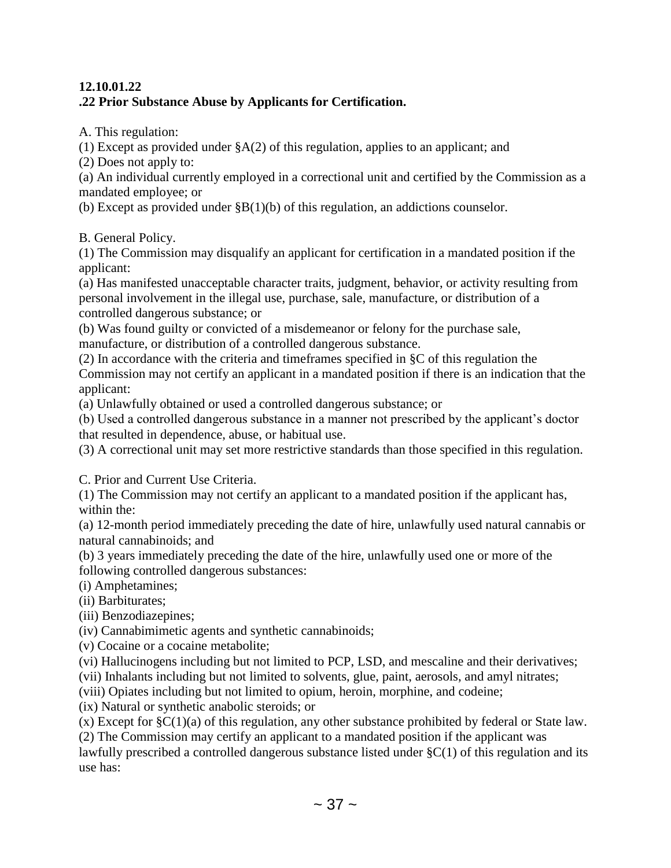## **12.10.01.22 .22 Prior Substance Abuse by Applicants for Certification.**

A. This regulation:

(1) Except as provided under  $\S A(2)$  of this regulation, applies to an applicant; and

(2) Does not apply to:

(a) An individual currently employed in a correctional unit and certified by the Commission as a mandated employee; or

(b) Except as provided under §B(1)(b) of this regulation, an addictions counselor.

B. General Policy.

(1) The Commission may disqualify an applicant for certification in a mandated position if the applicant:

(a) Has manifested unacceptable character traits, judgment, behavior, or activity resulting from personal involvement in the illegal use, purchase, sale, manufacture, or distribution of a controlled dangerous substance; or

(b) Was found guilty or convicted of a misdemeanor or felony for the purchase sale, manufacture, or distribution of a controlled dangerous substance.

(2) In accordance with the criteria and timeframes specified in §C of this regulation the Commission may not certify an applicant in a mandated position if there is an indication that the applicant:

(a) Unlawfully obtained or used a controlled dangerous substance; or

(b) Used a controlled dangerous substance in a manner not prescribed by the applicant's doctor that resulted in dependence, abuse, or habitual use.

(3) A correctional unit may set more restrictive standards than those specified in this regulation.

C. Prior and Current Use Criteria.

(1) The Commission may not certify an applicant to a mandated position if the applicant has, within the:

(a) 12-month period immediately preceding the date of hire, unlawfully used natural cannabis or natural cannabinoids; and

(b) 3 years immediately preceding the date of the hire, unlawfully used one or more of the following controlled dangerous substances:

(i) Amphetamines;

(ii) Barbiturates;

(iii) Benzodiazepines;

(iv) Cannabimimetic agents and synthetic cannabinoids;

(v) Cocaine or a cocaine metabolite;

(vi) Hallucinogens including but not limited to PCP, LSD, and mescaline and their derivatives;

(vii) Inhalants including but not limited to solvents, glue, paint, aerosols, and amyl nitrates;

(viii) Opiates including but not limited to opium, heroin, morphine, and codeine;

(ix) Natural or synthetic anabolic steroids; or

(x) Except for §C(1)(a) of this regulation, any other substance prohibited by federal or State law.

(2) The Commission may certify an applicant to a mandated position if the applicant was

lawfully prescribed a controlled dangerous substance listed under §C(1) of this regulation and its use has: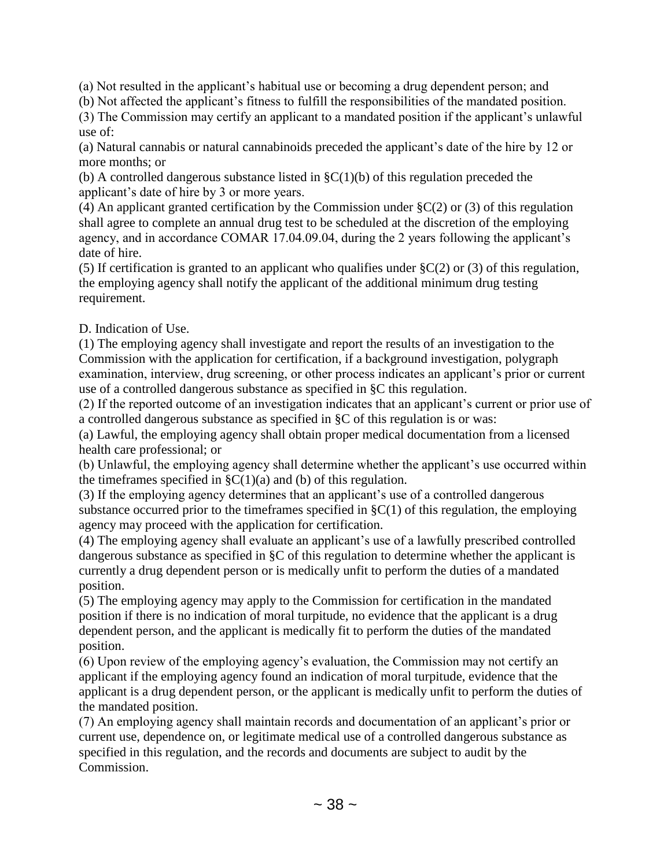(a) Not resulted in the applicant's habitual use or becoming a drug dependent person; and

(b) Not affected the applicant's fitness to fulfill the responsibilities of the mandated position.

(3) The Commission may certify an applicant to a mandated position if the applicant's unlawful use of:

(a) Natural cannabis or natural cannabinoids preceded the applicant's date of the hire by 12 or more months; or

(b) A controlled dangerous substance listed in  $\S C(1)(b)$  of this regulation preceded the applicant's date of hire by 3 or more years.

(4) An applicant granted certification by the Commission under  $\S C(2)$  or (3) of this regulation shall agree to complete an annual drug test to be scheduled at the discretion of the employing agency, and in accordance COMAR 17.04.09.04, during the 2 years following the applicant's date of hire.

(5) If certification is granted to an applicant who qualifies under  $C(2)$  or (3) of this regulation, the employing agency shall notify the applicant of the additional minimum drug testing requirement.

D. Indication of Use.

(1) The employing agency shall investigate and report the results of an investigation to the Commission with the application for certification, if a background investigation, polygraph examination, interview, drug screening, or other process indicates an applicant's prior or current use of a controlled dangerous substance as specified in §C this regulation.

(2) If the reported outcome of an investigation indicates that an applicant's current or prior use of a controlled dangerous substance as specified in §C of this regulation is or was:

(a) Lawful, the employing agency shall obtain proper medical documentation from a licensed health care professional; or

(b) Unlawful, the employing agency shall determine whether the applicant's use occurred within the timeframes specified in  $\zeta$ C(1)(a) and (b) of this regulation.

(3) If the employing agency determines that an applicant's use of a controlled dangerous substance occurred prior to the timeframes specified in  $\S C(1)$  of this regulation, the employing agency may proceed with the application for certification.

(4) The employing agency shall evaluate an applicant's use of a lawfully prescribed controlled dangerous substance as specified in §C of this regulation to determine whether the applicant is currently a drug dependent person or is medically unfit to perform the duties of a mandated position.

(5) The employing agency may apply to the Commission for certification in the mandated position if there is no indication of moral turpitude, no evidence that the applicant is a drug dependent person, and the applicant is medically fit to perform the duties of the mandated position.

(6) Upon review of the employing agency's evaluation, the Commission may not certify an applicant if the employing agency found an indication of moral turpitude, evidence that the applicant is a drug dependent person, or the applicant is medically unfit to perform the duties of the mandated position.

(7) An employing agency shall maintain records and documentation of an applicant's prior or current use, dependence on, or legitimate medical use of a controlled dangerous substance as specified in this regulation, and the records and documents are subject to audit by the Commission.